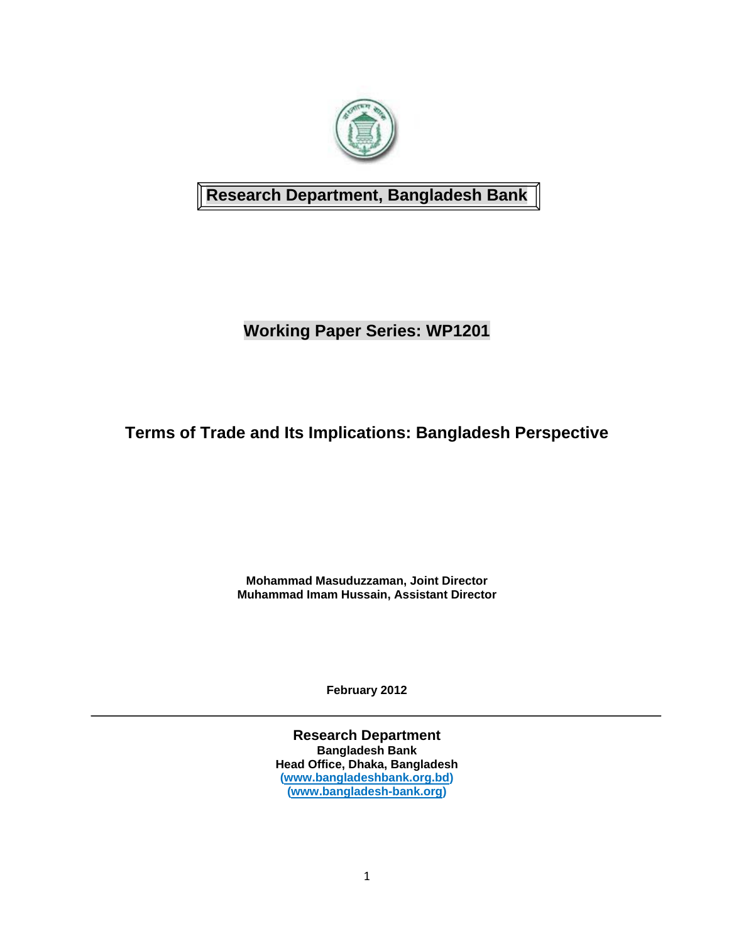

## **Research Department, Bangladesh Bank**

# **Working Paper Series: WP1201**

# **Terms of Trade and Its Implications: Bangladesh Perspective**

**Mohammad Masuduzzaman, Joint Director Muhammad Imam Hussain, Assistant Director** 

**February 2012** 

**Research Department Bangladesh Bank Head Office, Dhaka, Bangladesh (www.bangladeshbank.org.bd) (www.bangladesh-bank.org)**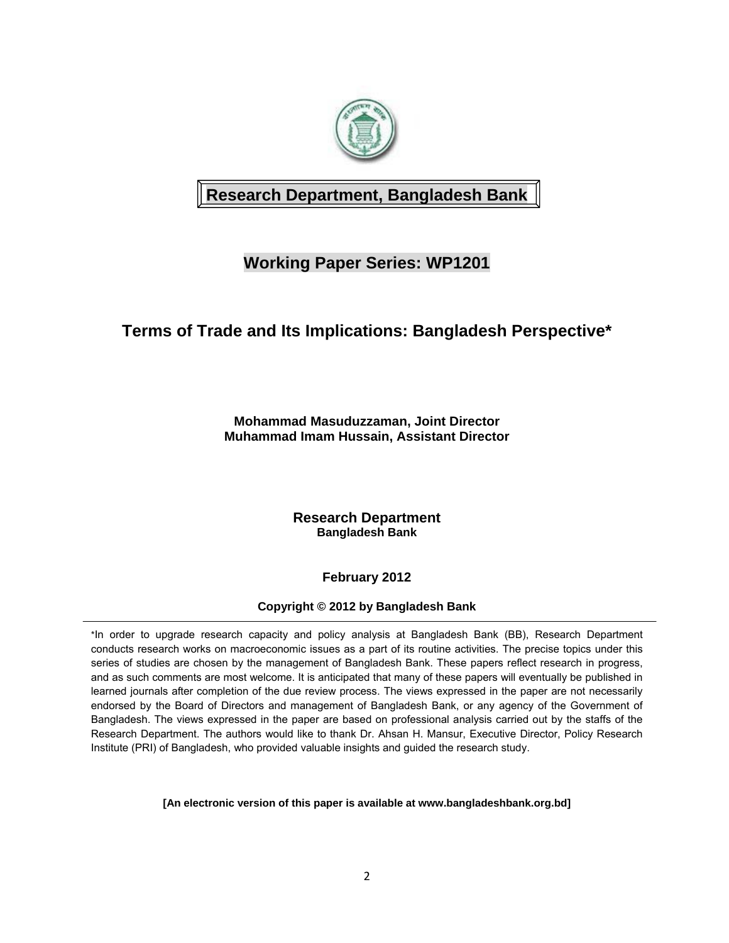

# **Research Department, Bangladesh Bank**

# **Working Paper Series: WP1201**

## **Terms of Trade and Its Implications: Bangladesh Perspective\***

**Mohammad Masuduzzaman, Joint Director Muhammad Imam Hussain, Assistant Director** 

> **Research Department Bangladesh Bank**

> > **February 2012**

**Copyright © 2012 by Bangladesh Bank** 

\*In order to upgrade research capacity and policy analysis at Bangladesh Bank (BB), Research Department conducts research works on macroeconomic issues as a part of its routine activities. The precise topics under this series of studies are chosen by the management of Bangladesh Bank. These papers reflect research in progress, and as such comments are most welcome. It is anticipated that many of these papers will eventually be published in learned journals after completion of the due review process. The views expressed in the paper are not necessarily endorsed by the Board of Directors and management of Bangladesh Bank, or any agency of the Government of Bangladesh. The views expressed in the paper are based on professional analysis carried out by the staffs of the Research Department. The authors would like to thank Dr. Ahsan H. Mansur, Executive Director, Policy Research Institute (PRI) of Bangladesh, who provided valuable insights and guided the research study.

**[An electronic version of this paper is available at www.bangladeshbank.org.bd]**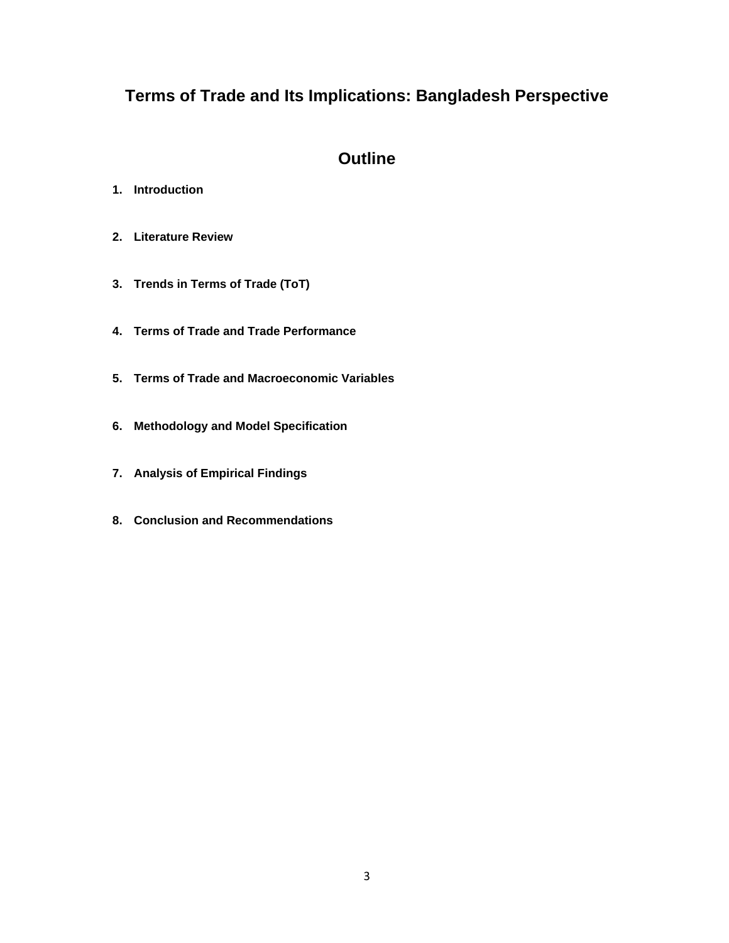# **Terms of Trade and Its Implications: Bangladesh Perspective**

## **Outline**

- **1. Introduction**
- **2. Literature Review**
- **3. Trends in Terms of Trade (ToT)**
- **4. Terms of Trade and Trade Performance**
- **5. Terms of Trade and Macroeconomic Variables**
- **6. Methodology and Model Specification**
- **7. Analysis of Empirical Findings**
- **8. Conclusion and Recommendations**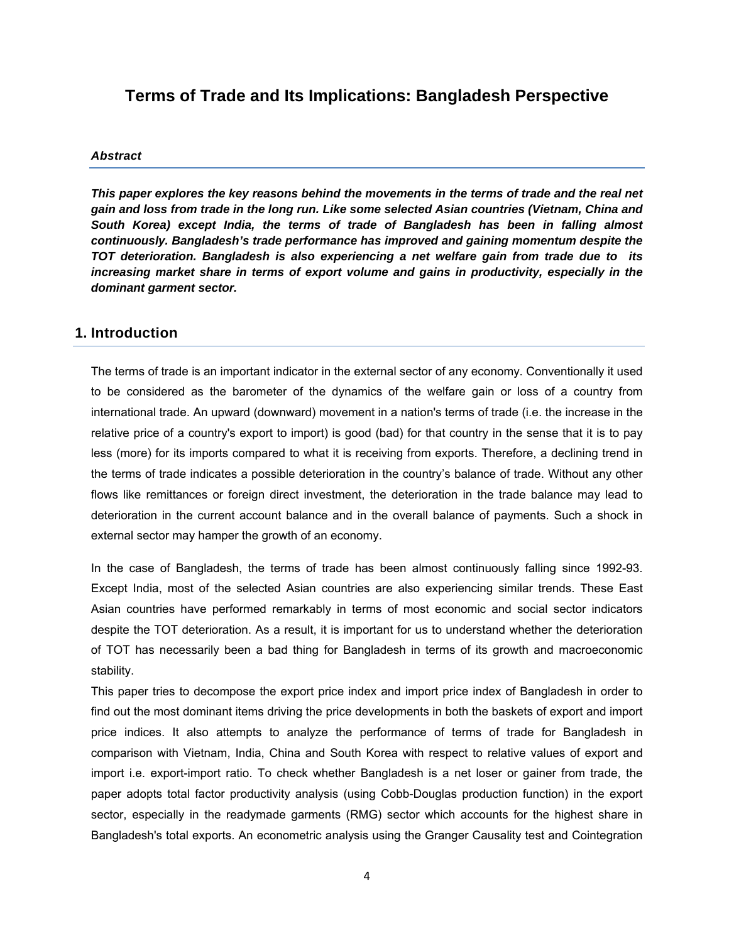## **Terms of Trade and Its Implications: Bangladesh Perspective**

#### *Abstract*

*This paper explores the key reasons behind the movements in the terms of trade and the real net gain and loss from trade in the long run. Like some selected Asian countries (Vietnam, China and South Korea) except India, the terms of trade of Bangladesh has been in falling almost continuously. Bangladesh's trade performance has improved and gaining momentum despite the TOT deterioration. Bangladesh is also experiencing a net welfare gain from trade due to its increasing market share in terms of export volume and gains in productivity, especially in the dominant garment sector.* 

#### **1. Introduction**

The terms of trade is an important indicator in the external sector of any economy. Conventionally it used to be considered as the barometer of the dynamics of the welfare gain or loss of a country from international trade. An upward (downward) movement in a nation's terms of trade (i.e. the increase in the relative price of a country's export to import) is good (bad) for that country in the sense that it is to pay less (more) for its imports compared to what it is receiving from exports. Therefore, a declining trend in the terms of trade indicates a possible deterioration in the country's balance of trade. Without any other flows like remittances or foreign direct investment, the deterioration in the trade balance may lead to deterioration in the current account balance and in the overall balance of payments. Such a shock in external sector may hamper the growth of an economy.

In the case of Bangladesh, the terms of trade has been almost continuously falling since 1992-93. Except India, most of the selected Asian countries are also experiencing similar trends. These East Asian countries have performed remarkably in terms of most economic and social sector indicators despite the TOT deterioration. As a result, it is important for us to understand whether the deterioration of TOT has necessarily been a bad thing for Bangladesh in terms of its growth and macroeconomic stability.

This paper tries to decompose the export price index and import price index of Bangladesh in order to find out the most dominant items driving the price developments in both the baskets of export and import price indices. It also attempts to analyze the performance of terms of trade for Bangladesh in comparison with Vietnam, India, China and South Korea with respect to relative values of export and import i.e. export-import ratio. To check whether Bangladesh is a net loser or gainer from trade, the paper adopts total factor productivity analysis (using Cobb-Douglas production function) in the export sector, especially in the readymade garments (RMG) sector which accounts for the highest share in Bangladesh's total exports. An econometric analysis using the Granger Causality test and Cointegration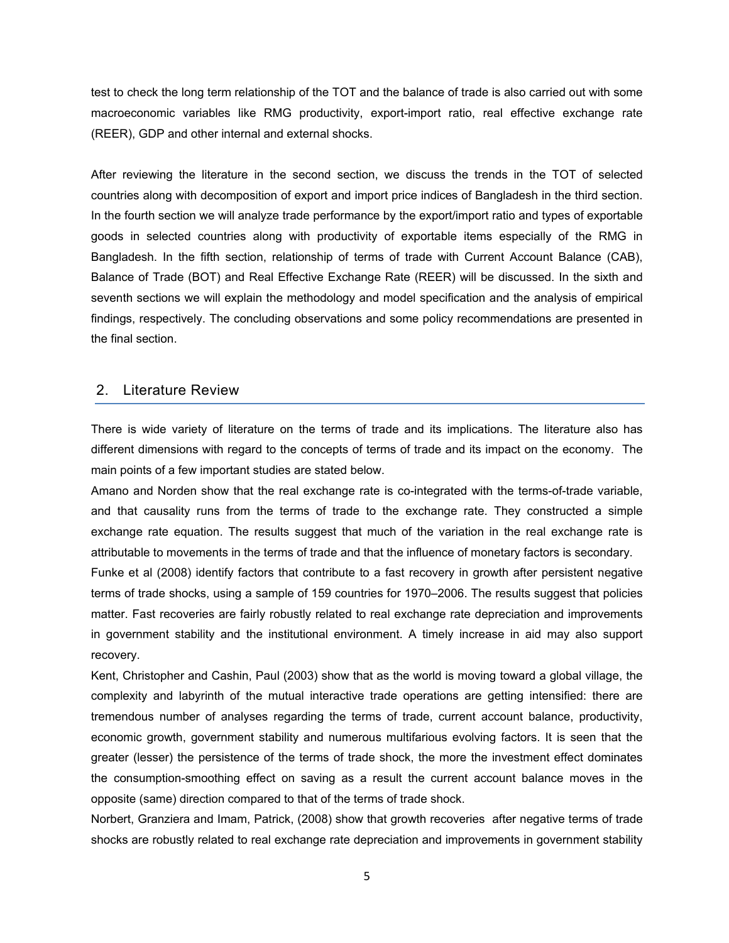test to check the long term relationship of the TOT and the balance of trade is also carried out with some macroeconomic variables like RMG productivity, export-import ratio, real effective exchange rate (REER), GDP and other internal and external shocks.

After reviewing the literature in the second section, we discuss the trends in the TOT of selected countries along with decomposition of export and import price indices of Bangladesh in the third section. In the fourth section we will analyze trade performance by the export/import ratio and types of exportable goods in selected countries along with productivity of exportable items especially of the RMG in Bangladesh. In the fifth section, relationship of terms of trade with Current Account Balance (CAB), Balance of Trade (BOT) and Real Effective Exchange Rate (REER) will be discussed. In the sixth and seventh sections we will explain the methodology and model specification and the analysis of empirical findings, respectively. The concluding observations and some policy recommendations are presented in the final section.

#### 2. Literature Review

There is wide variety of literature on the terms of trade and its implications. The literature also has different dimensions with regard to the concepts of terms of trade and its impact on the economy. The main points of a few important studies are stated below.

Amano and Norden show that the real exchange rate is co-integrated with the terms-of-trade variable, and that causality runs from the terms of trade to the exchange rate. They constructed a simple exchange rate equation. The results suggest that much of the variation in the real exchange rate is attributable to movements in the terms of trade and that the influence of monetary factors is secondary.

Funke et al (2008) identify factors that contribute to a fast recovery in growth after persistent negative terms of trade shocks, using a sample of 159 countries for 1970–2006. The results suggest that policies matter. Fast recoveries are fairly robustly related to real exchange rate depreciation and improvements in government stability and the institutional environment. A timely increase in aid may also support recovery.

Kent, Christopher and Cashin, Paul (2003) show that as the world is moving toward a global village, the complexity and labyrinth of the mutual interactive trade operations are getting intensified: there are tremendous number of analyses regarding the terms of trade, current account balance, productivity, economic growth, government stability and numerous multifarious evolving factors. It is seen that the greater (lesser) the persistence of the terms of trade shock, the more the investment effect dominates the consumption-smoothing effect on saving as a result the current account balance moves in the opposite (same) direction compared to that of the terms of trade shock.

Norbert, Granziera and Imam, Patrick, (2008) show that growth recoveries after negative terms of trade shocks are robustly related to real exchange rate depreciation and improvements in government stability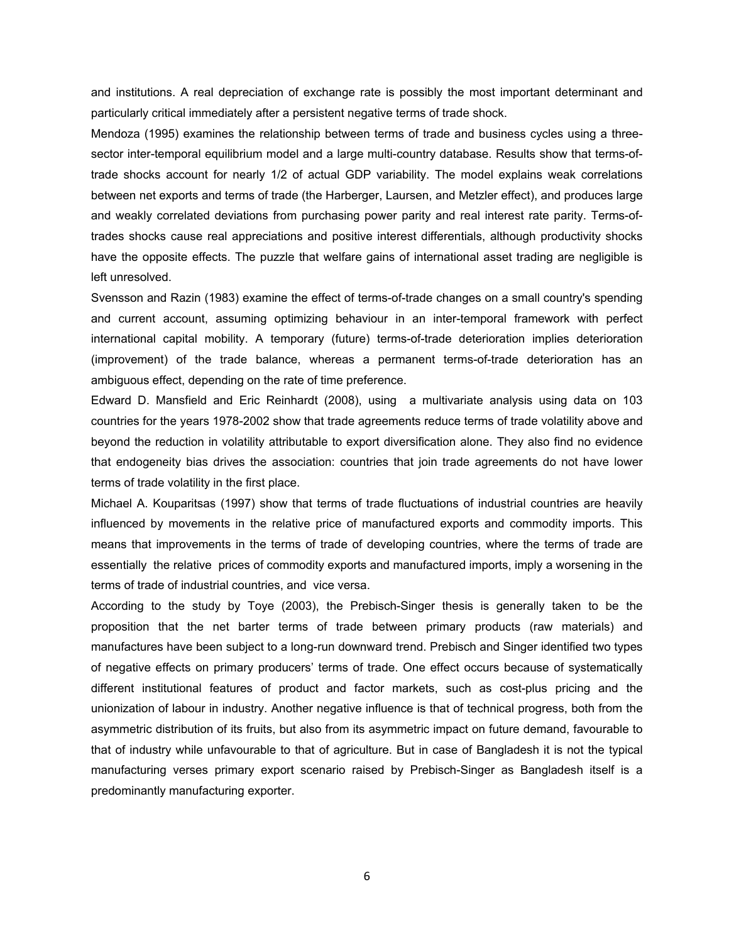and institutions. A real depreciation of exchange rate is possibly the most important determinant and particularly critical immediately after a persistent negative terms of trade shock.

Mendoza (1995) examines the relationship between terms of trade and business cycles using a threesector inter-temporal equilibrium model and a large multi-country database. Results show that terms-oftrade shocks account for nearly 1/2 of actual GDP variability. The model explains weak correlations between net exports and terms of trade (the Harberger, Laursen, and Metzler effect), and produces large and weakly correlated deviations from purchasing power parity and real interest rate parity. Terms-oftrades shocks cause real appreciations and positive interest differentials, although productivity shocks have the opposite effects. The puzzle that welfare gains of international asset trading are negligible is left unresolved.

Svensson and Razin (1983) examine the effect of terms-of-trade changes on a small country's spending and current account, assuming optimizing behaviour in an inter-temporal framework with perfect international capital mobility. A temporary (future) terms-of-trade deterioration implies deterioration (improvement) of the trade balance, whereas a permanent terms-of-trade deterioration has an ambiguous effect, depending on the rate of time preference.

Edward D. Mansfield and Eric Reinhardt (2008), using a multivariate analysis using data on 103 countries for the years 1978-2002 show that trade agreements reduce terms of trade volatility above and beyond the reduction in volatility attributable to export diversification alone. They also find no evidence that endogeneity bias drives the association: countries that join trade agreements do not have lower terms of trade volatility in the first place.

Michael A. Kouparitsas (1997) show that terms of trade fluctuations of industrial countries are heavily influenced by movements in the relative price of manufactured exports and commodity imports. This means that improvements in the terms of trade of developing countries, where the terms of trade are essentially the relative prices of commodity exports and manufactured imports, imply a worsening in the terms of trade of industrial countries, and vice versa.

According to the study by Toye (2003), the Prebisch-Singer thesis is generally taken to be the proposition that the net barter terms of trade between primary products (raw materials) and manufactures have been subject to a long-run downward trend. Prebisch and Singer identified two types of negative effects on primary producers' terms of trade. One effect occurs because of systematically different institutional features of product and factor markets, such as cost-plus pricing and the unionization of labour in industry. Another negative influence is that of technical progress, both from the asymmetric distribution of its fruits, but also from its asymmetric impact on future demand, favourable to that of industry while unfavourable to that of agriculture. But in case of Bangladesh it is not the typical manufacturing verses primary export scenario raised by Prebisch-Singer as Bangladesh itself is a predominantly manufacturing exporter.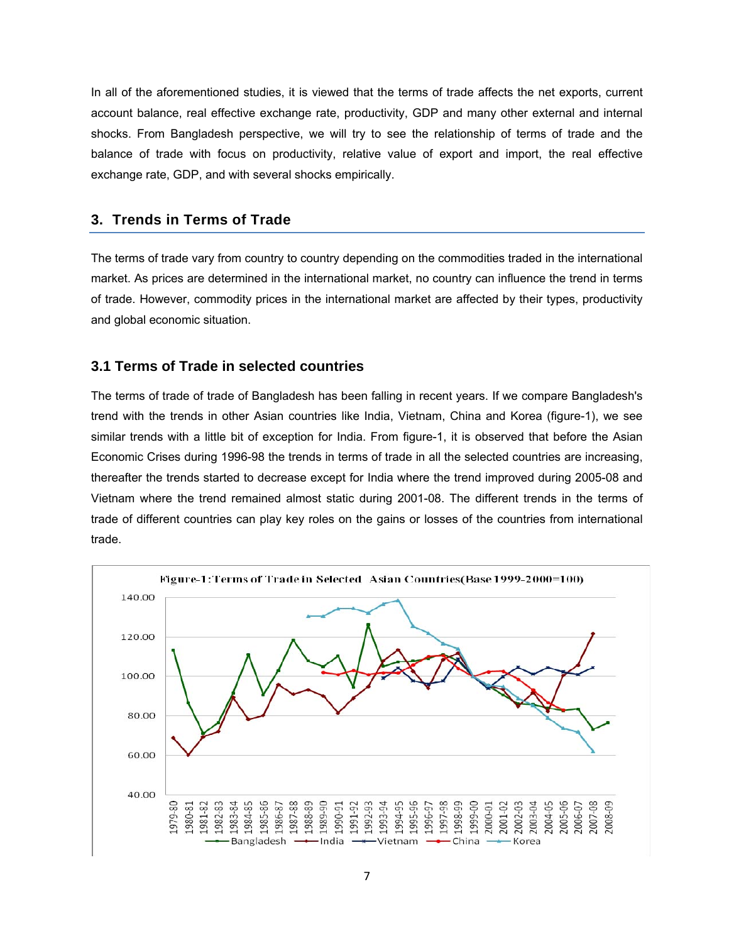In all of the aforementioned studies, it is viewed that the terms of trade affects the net exports, current account balance, real effective exchange rate, productivity, GDP and many other external and internal shocks. From Bangladesh perspective, we will try to see the relationship of terms of trade and the balance of trade with focus on productivity, relative value of export and import, the real effective exchange rate, GDP, and with several shocks empirically.

## **3. Trends in Terms of Trade**

The terms of trade vary from country to country depending on the commodities traded in the international market. As prices are determined in the international market, no country can influence the trend in terms of trade. However, commodity prices in the international market are affected by their types, productivity and global economic situation.

## **3.1 Terms of Trade in selected countries**

The terms of trade of trade of Bangladesh has been falling in recent years. If we compare Bangladesh's trend with the trends in other Asian countries like India, Vietnam, China and Korea (figure-1), we see similar trends with a little bit of exception for India. From figure-1, it is observed that before the Asian Economic Crises during 1996-98 the trends in terms of trade in all the selected countries are increasing, thereafter the trends started to decrease except for India where the trend improved during 2005-08 and Vietnam where the trend remained almost static during 2001-08. The different trends in the terms of trade of different countries can play key roles on the gains or losses of the countries from international trade.

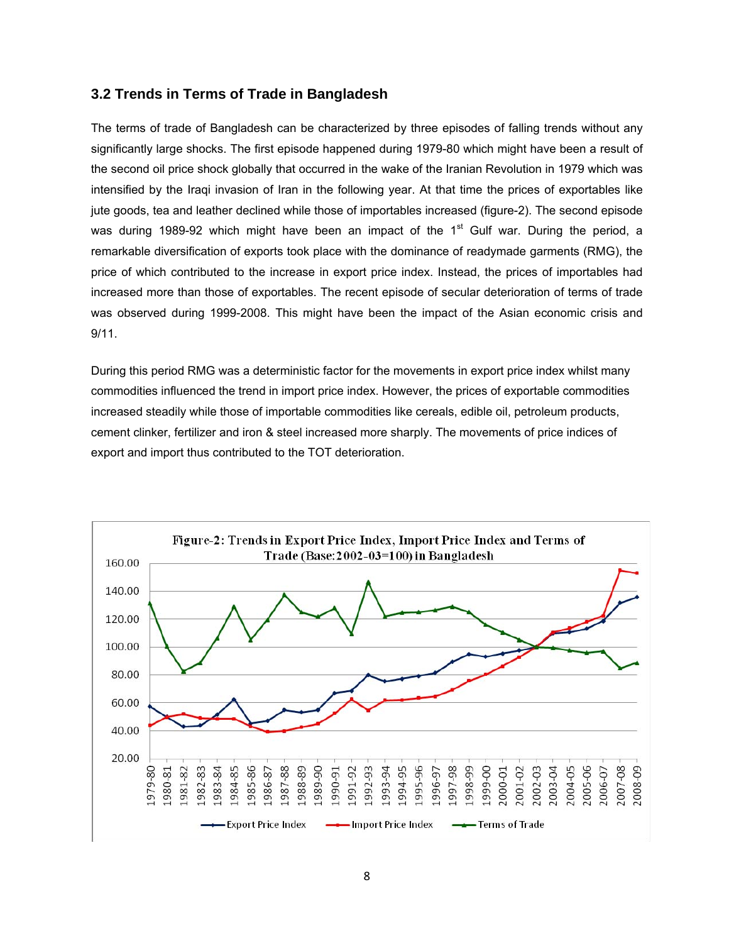## **3.2 Trends in Terms of Trade in Bangladesh**

The terms of trade of Bangladesh can be characterized by three episodes of falling trends without any significantly large shocks. The first episode happened during 1979-80 which might have been a result of the second oil price shock globally that occurred in the wake of the Iranian Revolution in 1979 which was intensified by the Iraqi invasion of Iran in the following year. At that time the prices of exportables like jute goods, tea and leather declined while those of importables increased (figure-2). The second episode was during 1989-92 which might have been an impact of the  $1<sup>st</sup>$  Gulf war. During the period, a remarkable diversification of exports took place with the dominance of readymade garments (RMG), the price of which contributed to the increase in export price index. Instead, the prices of importables had increased more than those of exportables. The recent episode of secular deterioration of terms of trade was observed during 1999-2008. This might have been the impact of the Asian economic crisis and 9/11.

During this period RMG was a deterministic factor for the movements in export price index whilst many commodities influenced the trend in import price index. However, the prices of exportable commodities increased steadily while those of importable commodities like cereals, edible oil, petroleum products, cement clinker, fertilizer and iron & steel increased more sharply. The movements of price indices of export and import thus contributed to the TOT deterioration.

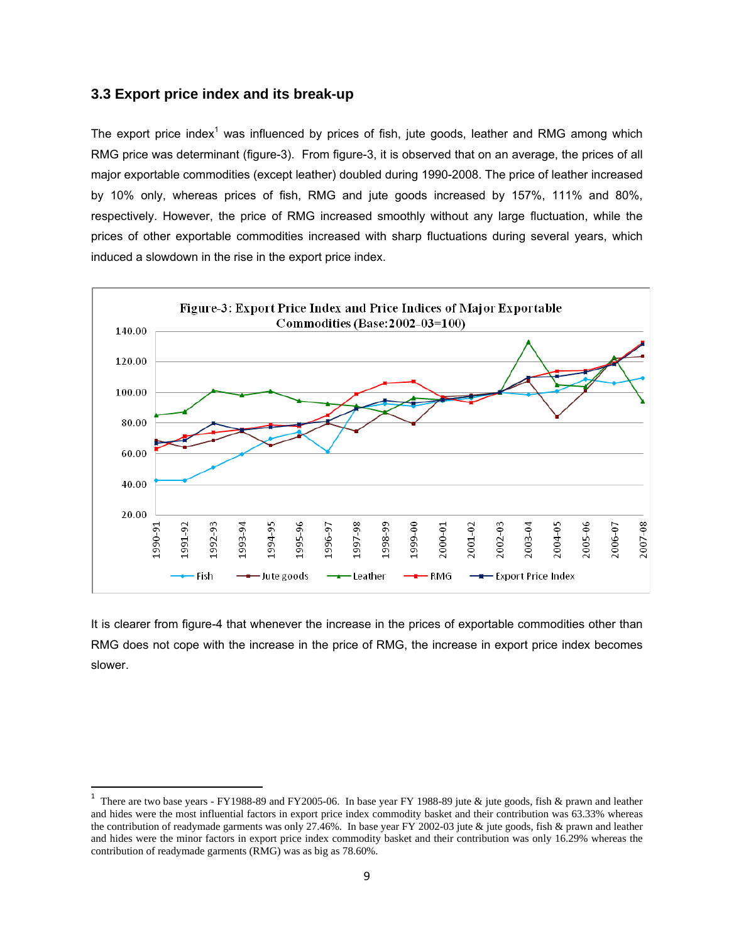#### **3.3 Export price index and its break-up**

The export price index<sup>1</sup> was influenced by prices of fish, jute goods, leather and RMG among which RMG price was determinant (figure-3). From figure-3, it is observed that on an average, the prices of all major exportable commodities (except leather) doubled during 1990-2008. The price of leather increased by 10% only, whereas prices of fish, RMG and jute goods increased by 157%, 111% and 80%, respectively. However, the price of RMG increased smoothly without any large fluctuation, while the prices of other exportable commodities increased with sharp fluctuations during several years, which induced a slowdown in the rise in the export price index.



It is clearer from figure-4 that whenever the increase in the prices of exportable commodities other than RMG does not cope with the increase in the price of RMG, the increase in export price index becomes slower.

<sup>&</sup>lt;sup>1</sup> There are two base years - FY1988-89 and FY2005-06. In base year FY 1988-89 jute & jute goods, fish & prawn and leather and hides were the most influential factors in export price index commodity basket and their contribution was 63.33% whereas the contribution of readymade garments was only 27.46%. In base year FY 2002-03 jute & jute goods, fish & prawn and leather and hides were the minor factors in export price index commodity basket and their contribution was only 16.29% whereas the contribution of readymade garments (RMG) was as big as 78.60%.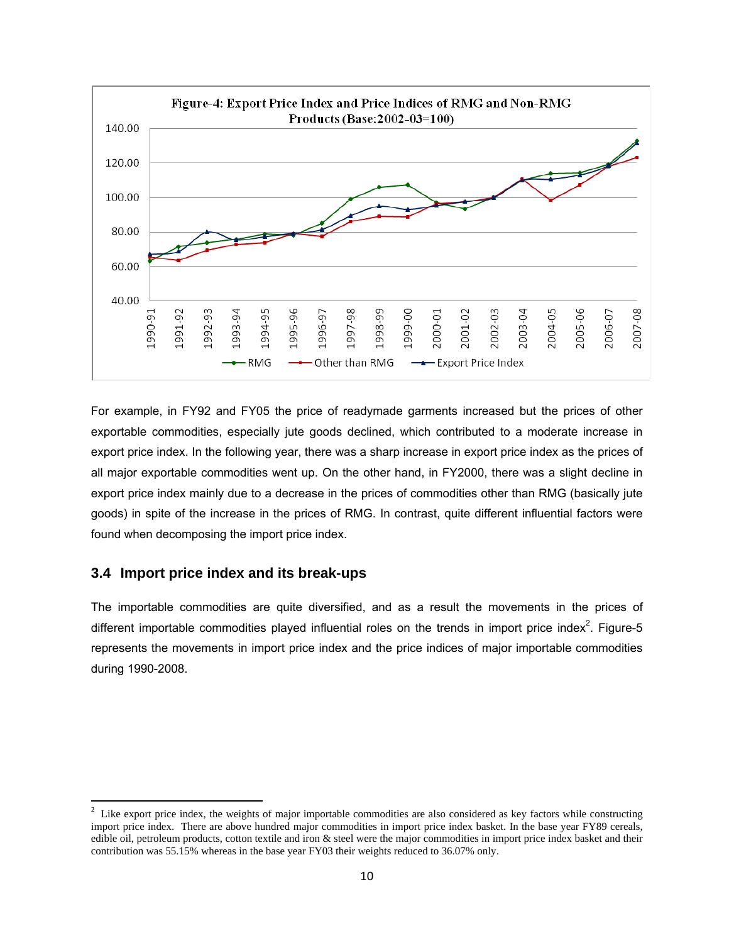

For example, in FY92 and FY05 the price of readymade garments increased but the prices of other exportable commodities, especially jute goods declined, which contributed to a moderate increase in export price index. In the following year, there was a sharp increase in export price index as the prices of all major exportable commodities went up. On the other hand, in FY2000, there was a slight decline in export price index mainly due to a decrease in the prices of commodities other than RMG (basically jute goods) in spite of the increase in the prices of RMG. In contrast, quite different influential factors were found when decomposing the import price index.

#### **3.4 Import price index and its break-ups**

The importable commodities are quite diversified, and as a result the movements in the prices of different importable commodities played influential roles on the trends in import price index<sup>2</sup>. Figure-5 represents the movements in import price index and the price indices of major importable commodities during 1990-2008.

<sup>&</sup>lt;sup>2</sup> Like export price index, the weights of major importable commodities are also considered as key factors while constructing import price index. There are above hundred major commodities in import price index basket. In the base year FY89 cereals, edible oil, petroleum products, cotton textile and iron & steel were the major commodities in import price index basket and their contribution was 55.15% whereas in the base year FY03 their weights reduced to 36.07% only.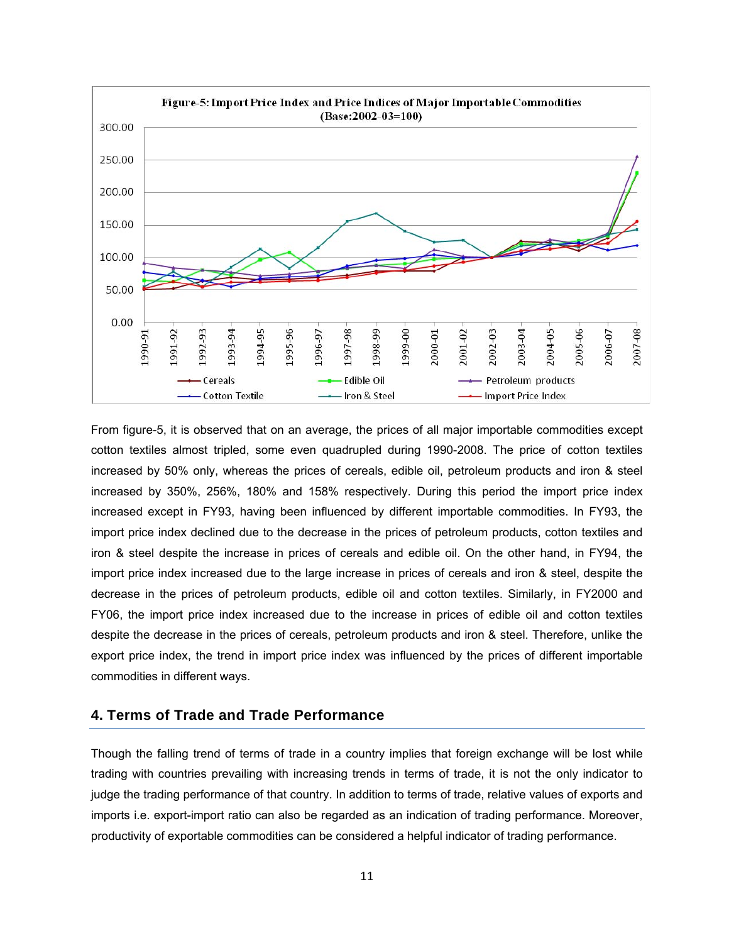

From figure-5, it is observed that on an average, the prices of all major importable commodities except cotton textiles almost tripled, some even quadrupled during 1990-2008. The price of cotton textiles increased by 50% only, whereas the prices of cereals, edible oil, petroleum products and iron & steel increased by 350%, 256%, 180% and 158% respectively. During this period the import price index increased except in FY93, having been influenced by different importable commodities. In FY93, the import price index declined due to the decrease in the prices of petroleum products, cotton textiles and iron & steel despite the increase in prices of cereals and edible oil. On the other hand, in FY94, the import price index increased due to the large increase in prices of cereals and iron & steel, despite the decrease in the prices of petroleum products, edible oil and cotton textiles. Similarly, in FY2000 and FY06, the import price index increased due to the increase in prices of edible oil and cotton textiles despite the decrease in the prices of cereals, petroleum products and iron & steel. Therefore, unlike the export price index, the trend in import price index was influenced by the prices of different importable commodities in different ways.

### **4. Terms of Trade and Trade Performance**

Though the falling trend of terms of trade in a country implies that foreign exchange will be lost while trading with countries prevailing with increasing trends in terms of trade, it is not the only indicator to judge the trading performance of that country. In addition to terms of trade, relative values of exports and imports i.e. export-import ratio can also be regarded as an indication of trading performance. Moreover, productivity of exportable commodities can be considered a helpful indicator of trading performance.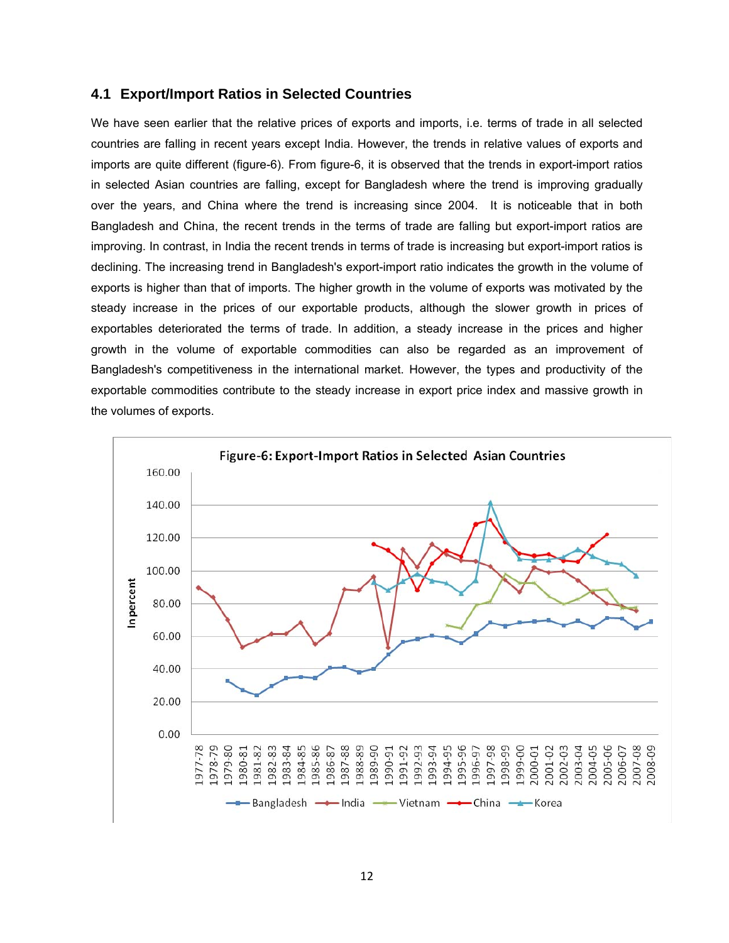#### **4.1 Export/Import Ratios in Selected Countries**

We have seen earlier that the relative prices of exports and imports, i.e. terms of trade in all selected countries are falling in recent years except India. However, the trends in relative values of exports and imports are quite different (figure-6). From figure-6, it is observed that the trends in export-import ratios in selected Asian countries are falling, except for Bangladesh where the trend is improving gradually over the years, and China where the trend is increasing since 2004. It is noticeable that in both Bangladesh and China, the recent trends in the terms of trade are falling but export-import ratios are improving. In contrast, in India the recent trends in terms of trade is increasing but export-import ratios is declining. The increasing trend in Bangladesh's export-import ratio indicates the growth in the volume of exports is higher than that of imports. The higher growth in the volume of exports was motivated by the steady increase in the prices of our exportable products, although the slower growth in prices of exportables deteriorated the terms of trade. In addition, a steady increase in the prices and higher growth in the volume of exportable commodities can also be regarded as an improvement of Bangladesh's competitiveness in the international market. However, the types and productivity of the exportable commodities contribute to the steady increase in export price index and massive growth in the volumes of exports.

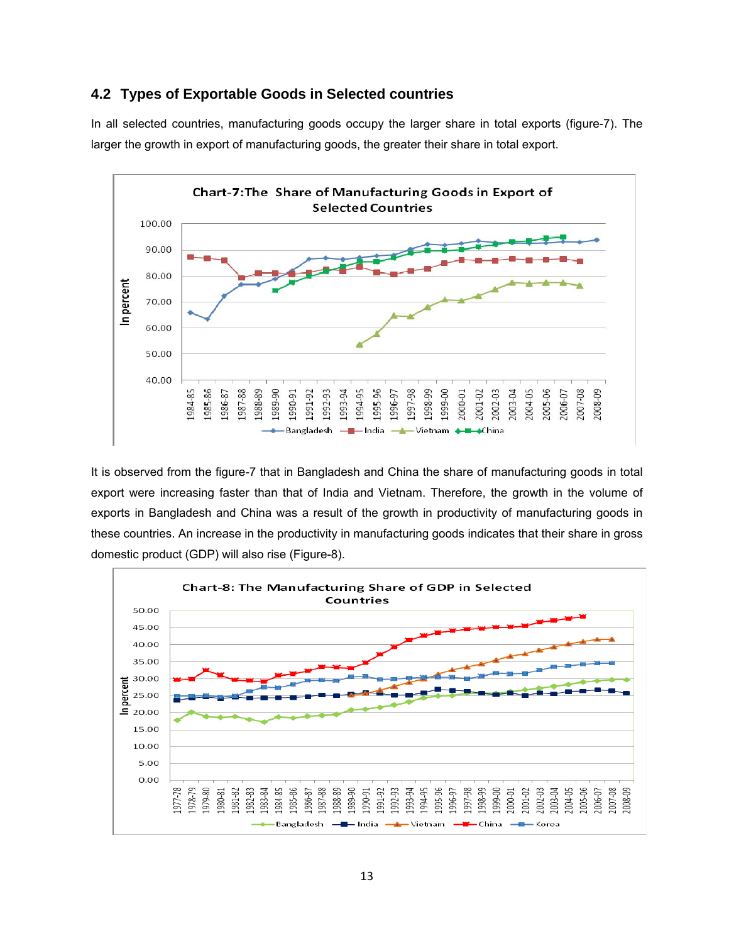#### **4.2 Types of Exportable Goods in Selected countries**

In all selected countries, manufacturing goods occupy the larger share in total exports (figure-7). The larger the growth in export of manufacturing goods, the greater their share in total export.



It is observed from the figure-7 that in Bangladesh and China the share of manufacturing goods in total export were increasing faster than that of India and Vietnam. Therefore, the growth in the volume of exports in Bangladesh and China was a result of the growth in productivity of manufacturing goods in these countries. An increase in the productivity in manufacturing goods indicates that their share in gross domestic product (GDP) will also rise (Figure-8).

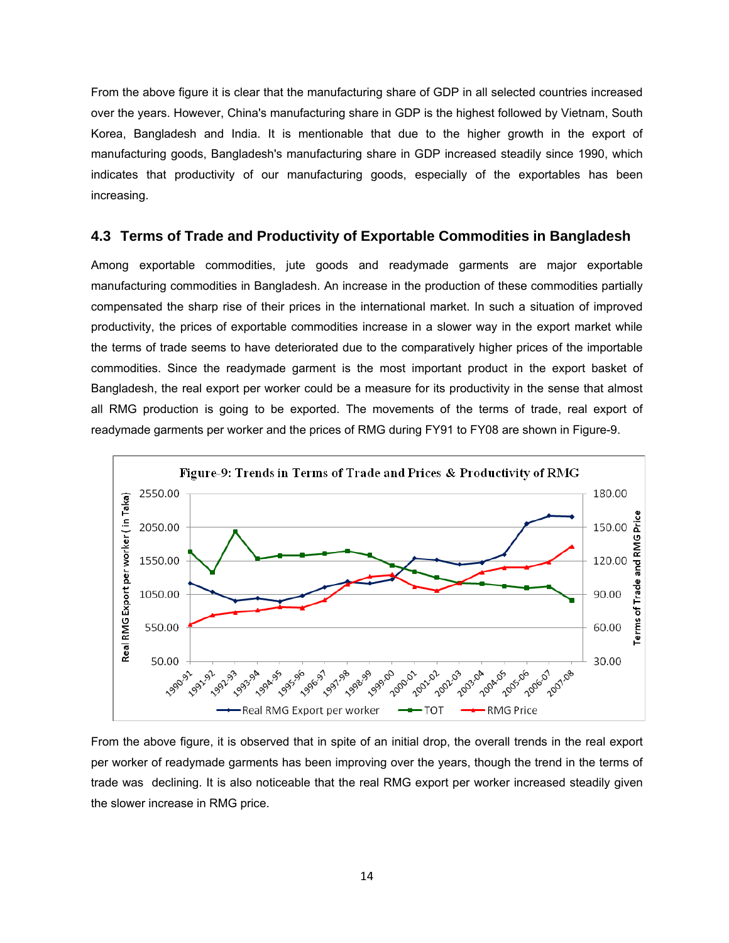From the above figure it is clear that the manufacturing share of GDP in all selected countries increased over the years. However, China's manufacturing share in GDP is the highest followed by Vietnam, South Korea, Bangladesh and India. It is mentionable that due to the higher growth in the export of manufacturing goods, Bangladesh's manufacturing share in GDP increased steadily since 1990, which indicates that productivity of our manufacturing goods, especially of the exportables has been increasing.

#### **4.3 Terms of Trade and Productivity of Exportable Commodities in Bangladesh**

Among exportable commodities, jute goods and readymade garments are major exportable manufacturing commodities in Bangladesh. An increase in the production of these commodities partially compensated the sharp rise of their prices in the international market. In such a situation of improved productivity, the prices of exportable commodities increase in a slower way in the export market while the terms of trade seems to have deteriorated due to the comparatively higher prices of the importable commodities. Since the readymade garment is the most important product in the export basket of Bangladesh, the real export per worker could be a measure for its productivity in the sense that almost all RMG production is going to be exported. The movements of the terms of trade, real export of readymade garments per worker and the prices of RMG during FY91 to FY08 are shown in Figure-9.



From the above figure, it is observed that in spite of an initial drop, the overall trends in the real export per worker of readymade garments has been improving over the years, though the trend in the terms of trade was declining. It is also noticeable that the real RMG export per worker increased steadily given the slower increase in RMG price.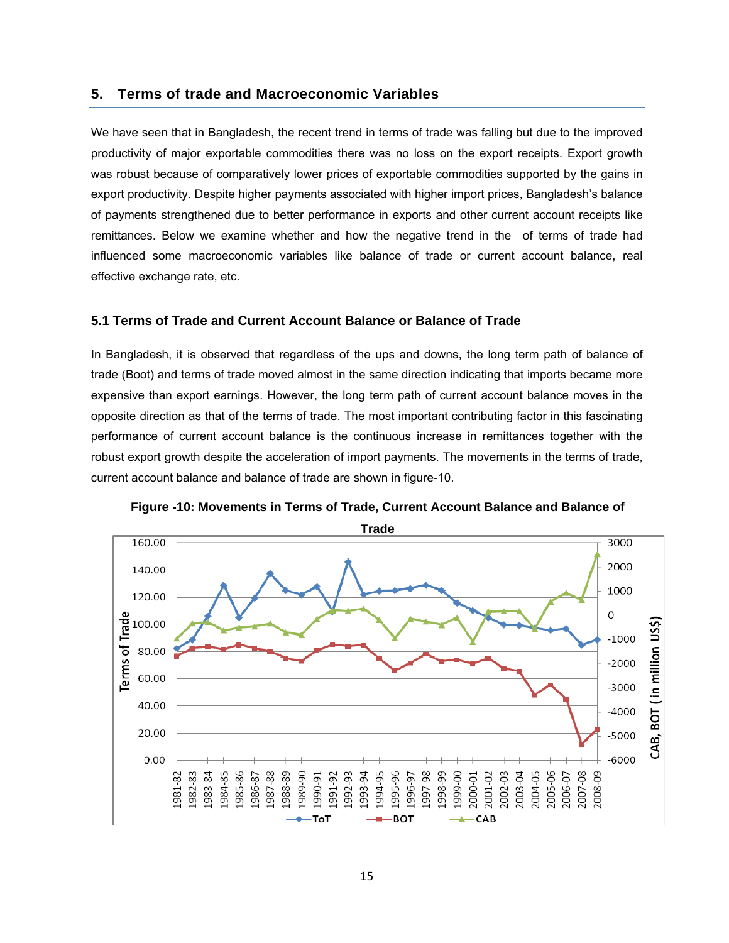#### **5. Terms of trade and Macroeconomic Variables**

We have seen that in Bangladesh, the recent trend in terms of trade was falling but due to the improved productivity of major exportable commodities there was no loss on the export receipts. Export growth was robust because of comparatively lower prices of exportable commodities supported by the gains in export productivity. Despite higher payments associated with higher import prices, Bangladesh's balance of payments strengthened due to better performance in exports and other current account receipts like remittances. Below we examine whether and how the negative trend in the of terms of trade had influenced some macroeconomic variables like balance of trade or current account balance, real effective exchange rate, etc.

#### **5.1 Terms of Trade and Current Account Balance or Balance of Trade**

In Bangladesh, it is observed that regardless of the ups and downs, the long term path of balance of trade (Boot) and terms of trade moved almost in the same direction indicating that imports became more expensive than export earnings. However, the long term path of current account balance moves in the opposite direction as that of the terms of trade. The most important contributing factor in this fascinating performance of current account balance is the continuous increase in remittances together with the robust export growth despite the acceleration of import payments. The movements in the terms of trade, current account balance and balance of trade are shown in figure-10.



**Figure -10: Movements in Terms of Trade, Current Account Balance and Balance of**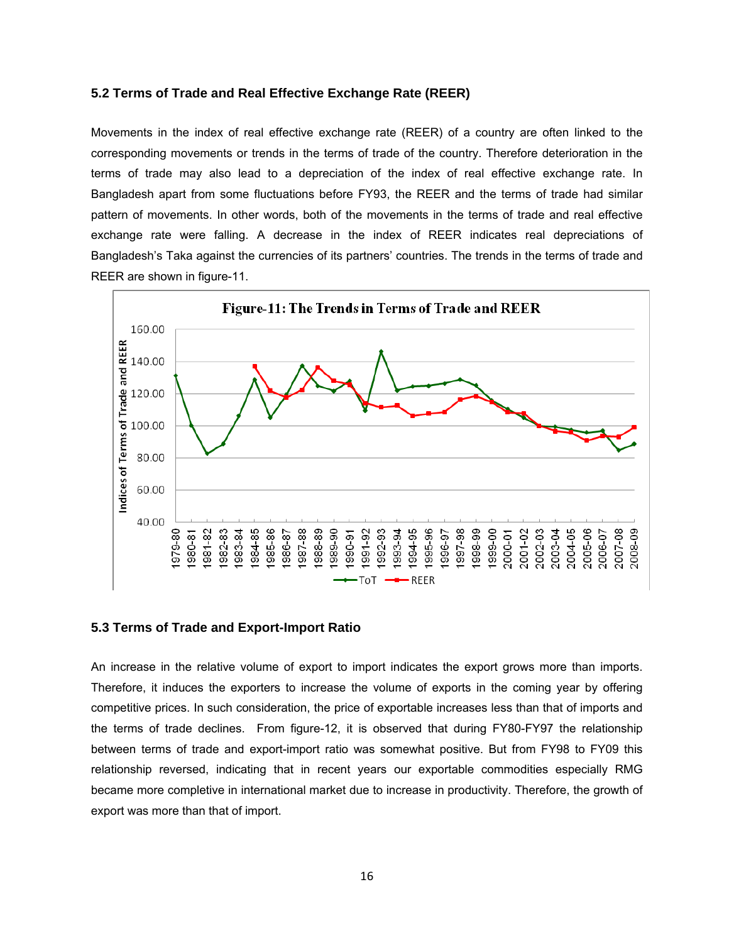#### **5.2 Terms of Trade and Real Effective Exchange Rate (REER)**

Movements in the index of real effective exchange rate (REER) of a country are often linked to the corresponding movements or trends in the terms of trade of the country. Therefore deterioration in the terms of trade may also lead to a depreciation of the index of real effective exchange rate. In Bangladesh apart from some fluctuations before FY93, the REER and the terms of trade had similar pattern of movements. In other words, both of the movements in the terms of trade and real effective exchange rate were falling. A decrease in the index of REER indicates real depreciations of Bangladesh's Taka against the currencies of its partners' countries. The trends in the terms of trade and REER are shown in figure-11.



#### **5.3 Terms of Trade and Export-Import Ratio**

An increase in the relative volume of export to import indicates the export grows more than imports. Therefore, it induces the exporters to increase the volume of exports in the coming year by offering competitive prices. In such consideration, the price of exportable increases less than that of imports and the terms of trade declines. From figure-12, it is observed that during FY80-FY97 the relationship between terms of trade and export-import ratio was somewhat positive. But from FY98 to FY09 this relationship reversed, indicating that in recent years our exportable commodities especially RMG became more completive in international market due to increase in productivity. Therefore, the growth of export was more than that of import.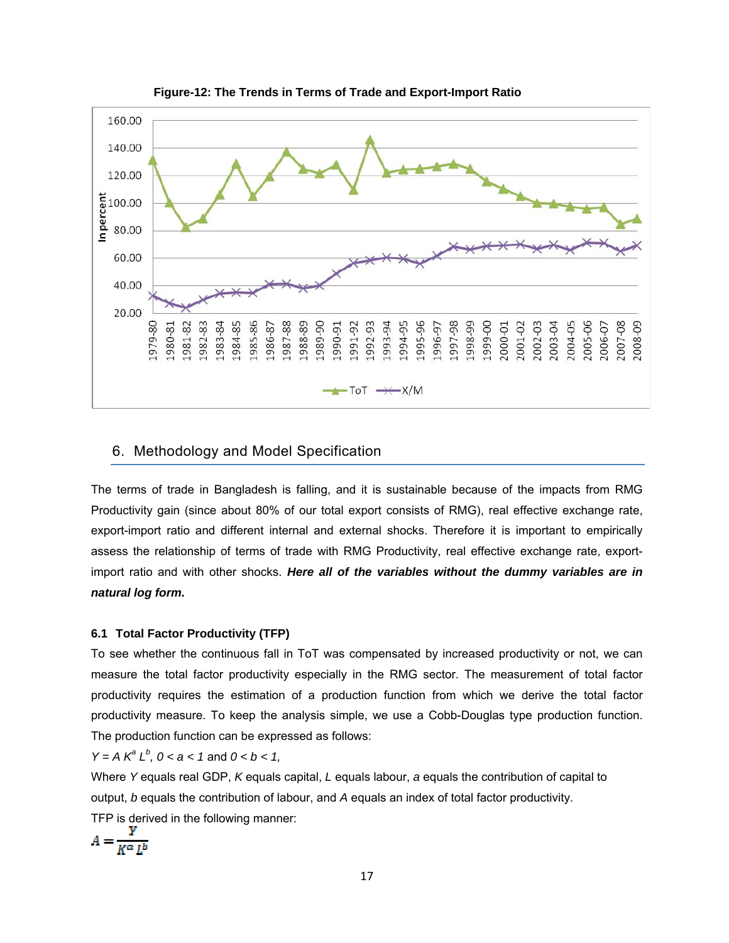

 **Figure-12: The Trends in Terms of Trade and Export-Import Ratio** 

#### 6. Methodology and Model Specification

The terms of trade in Bangladesh is falling, and it is sustainable because of the impacts from RMG Productivity gain (since about 80% of our total export consists of RMG), real effective exchange rate, export-import ratio and different internal and external shocks. Therefore it is important to empirically assess the relationship of terms of trade with RMG Productivity, real effective exchange rate, exportimport ratio and with other shocks. *Here all of the variables without the dummy variables are in natural log form.* 

#### **6.1 Total Factor Productivity (TFP)**

To see whether the continuous fall in ToT was compensated by increased productivity or not, we can measure the total factor productivity especially in the RMG sector. The measurement of total factor productivity requires the estimation of a production function from which we derive the total factor productivity measure. To keep the analysis simple, we use a Cobb-Douglas type production function. The production function can be expressed as follows:

*Y* = *A*  $K^a L^b$ , *0* < *a* < 1 and *0* < *b* < 1,

Where *Y* equals real GDP, *K* equals capital, *L* equals labour, *a* equals the contribution of capital to output, *b* equals the contribution of labour, and *A* equals an index of total factor productivity. TFP is derived in the following manner:

$$
A = \frac{Y}{K^{\alpha} L^{b}}
$$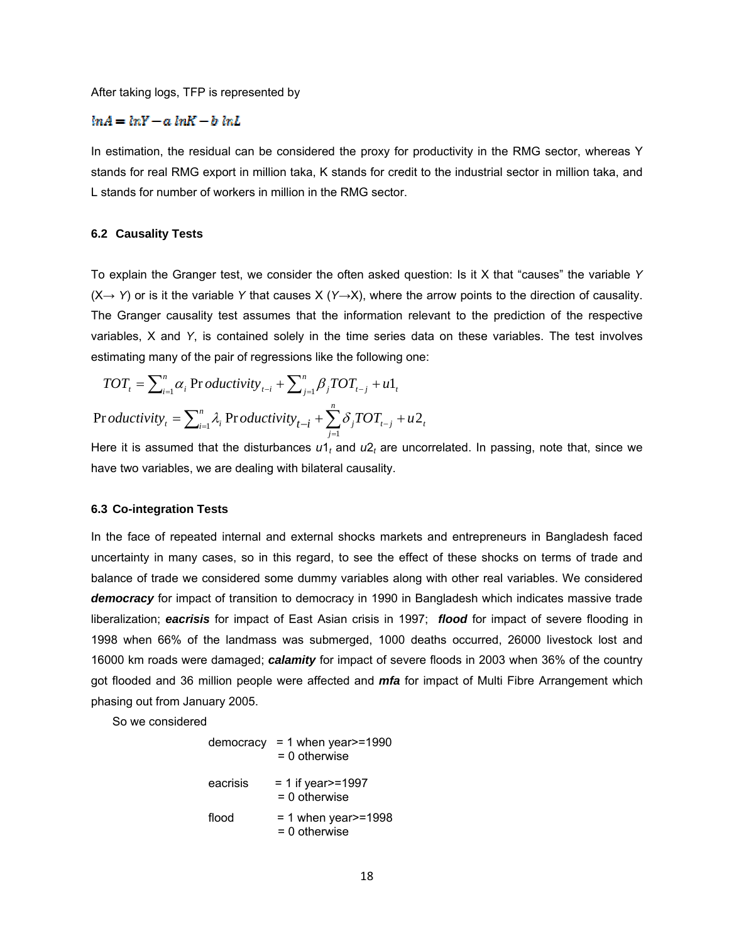After taking logs, TFP is represented by

#### $ln A = ln Y - a ln K - b ln L$

In estimation, the residual can be considered the proxy for productivity in the RMG sector, whereas Y stands for real RMG export in million taka, K stands for credit to the industrial sector in million taka, and L stands for number of workers in million in the RMG sector.

#### **6.2 Causality Tests**

To explain the Granger test, we consider the often asked question: Is it X that "causes" the variable *Y*  (X→ *Y*) or is it the variable *Y* that causes X (*Y*→X), where the arrow points to the direction of causality. The Granger causality test assumes that the information relevant to the prediction of the respective variables, X and *Y*, is contained solely in the time series data on these variables. The test involves estimating many of the pair of regressions like the following one:

$$
TOT_{t} = \sum_{i=1}^{n} \alpha_{i} \text{ Pr }oductivity_{t-i} + \sum_{j=1}^{n} \beta_{j} TOT_{t-j} + u1_{t}
$$
  
Pr *oductivity*<sub>t</sub> =  $\sum_{i=1}^{n} \lambda_{i} \text{ Pr }oductivity_{t-i} + \sum_{j=1}^{n} \delta_{j} TOT_{t-j} + u2_{t}$ 

Here it is assumed that the disturbances *u*1*<sup>t</sup>* and *u*2*<sup>t</sup>* are uncorrelated. In passing, note that, since we have two variables, we are dealing with bilateral causality.

#### **6.3 Co-integration Tests**

In the face of repeated internal and external shocks markets and entrepreneurs in Bangladesh faced uncertainty in many cases, so in this regard, to see the effect of these shocks on terms of trade and balance of trade we considered some dummy variables along with other real variables. We considered *democracy* for impact of transition to democracy in 1990 in Bangladesh which indicates massive trade liberalization; *eacrisis* for impact of East Asian crisis in 1997; *flood* for impact of severe flooding in 1998 when 66% of the landmass was submerged, 1000 deaths occurred, 26000 livestock lost and 16000 km roads were damaged; *calamity* for impact of severe floods in 2003 when 36% of the country got flooded and 36 million people were affected and *mfa* for impact of Multi Fibre Arrangement which phasing out from January 2005.

So we considered

|          | democracy = 1 when year $> = 1990$<br>$= 0$ otherwise |
|----------|-------------------------------------------------------|
| eacrisis | $= 1$ if year $>= 1997$<br>$= 0$ otherwise            |
| flood    | $= 1$ when year $>= 1998$<br>$= 0$ otherwise          |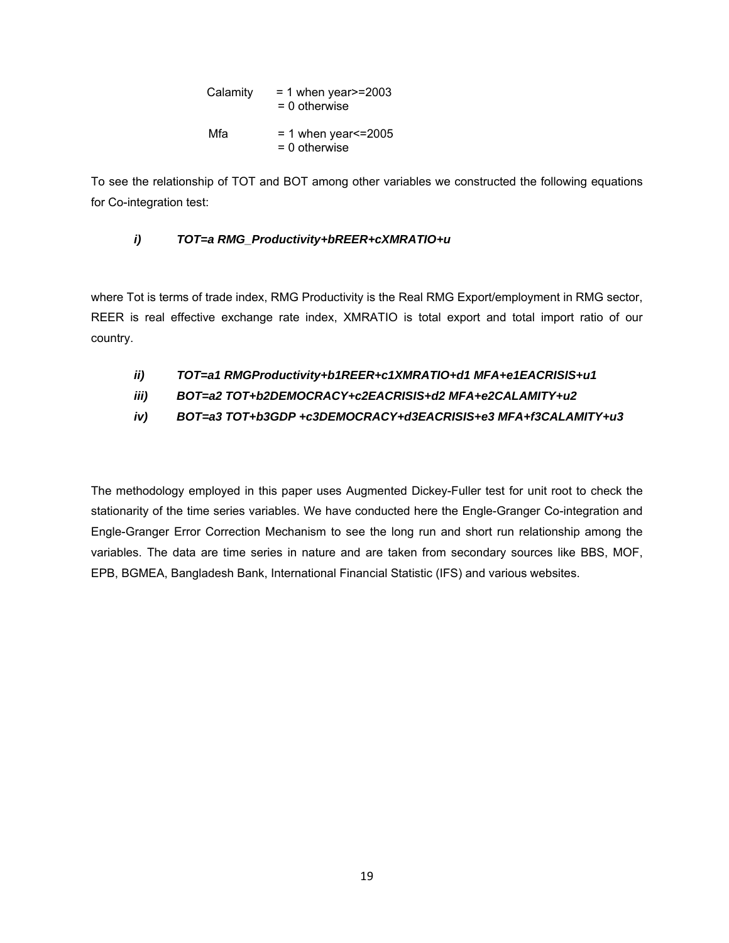| Calamity | $= 1$ when year $>= 2003$<br>$= 0$ otherwise   |
|----------|------------------------------------------------|
| Mfa      | $= 1$ when year $\leq$ 2005<br>$= 0$ otherwise |

To see the relationship of TOT and BOT among other variables we constructed the following equations for Co-integration test:

### *i) TOT=a RMG\_Productivity+bREER+cXMRATIO+u*

where Tot is terms of trade index, RMG Productivity is the Real RMG Export/employment in RMG sector, REER is real effective exchange rate index, XMRATIO is total export and total import ratio of our country.

- *ii) TOT=a1 RMGProductivity+b1REER+c1XMRATIO+d1 MFA+e1EACRISIS+u1*
- *iii) BOT=a2 TOT+b2DEMOCRACY+c2EACRISIS+d2 MFA+e2CALAMITY+u2*
- *iv) BOT=a3 TOT+b3GDP +c3DEMOCRACY+d3EACRISIS+e3 MFA+f3CALAMITY+u3*

The methodology employed in this paper uses Augmented Dickey-Fuller test for unit root to check the stationarity of the time series variables. We have conducted here the Engle-Granger Co-integration and Engle-Granger Error Correction Mechanism to see the long run and short run relationship among the variables. The data are time series in nature and are taken from secondary sources like BBS, MOF, EPB, BGMEA, Bangladesh Bank, International Financial Statistic (IFS) and various websites.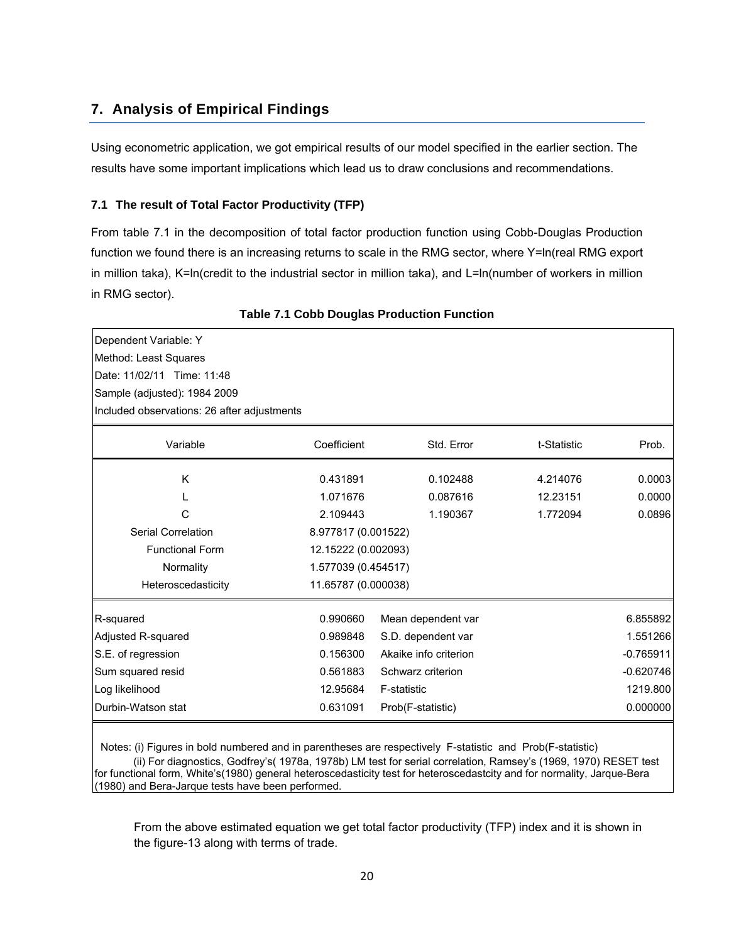## **7. Analysis of Empirical Findings**

Using econometric application, we got empirical results of our model specified in the earlier section. The results have some important implications which lead us to draw conclusions and recommendations.

#### **7.1 The result of Total Factor Productivity (TFP)**

From table 7.1 in the decomposition of total factor production function using Cobb-Douglas Production function we found there is an increasing returns to scale in the RMG sector, where Y=ln(real RMG export in million taka), K=ln(credit to the industrial sector in million taka), and L=ln(number of workers in million in RMG sector).

| Dependent Variable: Y                       |                     |                       |             |             |
|---------------------------------------------|---------------------|-----------------------|-------------|-------------|
| Method: Least Squares                       |                     |                       |             |             |
|                                             |                     |                       |             |             |
| Date: 11/02/11 Time: 11:48                  |                     |                       |             |             |
| Sample (adjusted): 1984 2009                |                     |                       |             |             |
| Included observations: 26 after adjustments |                     |                       |             |             |
| Variable                                    | Coefficient         | Std. Error            | t-Statistic | Prob.       |
| Κ                                           | 0.431891            | 0.102488              | 4.214076    | 0.0003      |
|                                             |                     |                       |             |             |
|                                             | 1.071676            | 0.087616              | 12.23151    | 0.0000      |
| С                                           | 2.109443            | 1.190367              | 1.772094    | 0.0896      |
| Serial Correlation                          | 8.977817 (0.001522) |                       |             |             |
| <b>Functional Form</b>                      | 12.15222 (0.002093) |                       |             |             |
| Normality                                   | 1.577039 (0.454517) |                       |             |             |
| Heteroscedasticity                          | 11.65787 (0.000038) |                       |             |             |
| R-squared                                   | 0.990660            | Mean dependent var    |             | 6.855892    |
| Adjusted R-squared                          | 0.989848            | S.D. dependent var    |             | 1.551266    |
| S.E. of regression                          | 0.156300            | Akaike info criterion |             | $-0.765911$ |
| Sum squared resid                           | 0.561883            | Schwarz criterion     |             | $-0.620746$ |
| Log likelihood                              | 12.95684            | F-statistic           |             | 1219.800    |
| Durbin-Watson stat                          | 0.631091            | Prob(F-statistic)     |             | 0.000000    |
|                                             |                     |                       |             |             |

**Table 7.1 Cobb Douglas Production Function**

 Notes: (i) Figures in bold numbered and in parentheses are respectively F-statistic and Prob(F-statistic) (ii) For diagnostics, Godfrey's( 1978a, 1978b) LM test for serial correlation, Ramsey's (1969, 1970) RESET test for functional form, White's(1980) general heteroscedasticity test for heteroscedastcity and for normality, Jarque-Bera (1980) and Bera-Jarque tests have been performed.

From the above estimated equation we get total factor productivity (TFP) index and it is shown in the figure-13 along with terms of trade.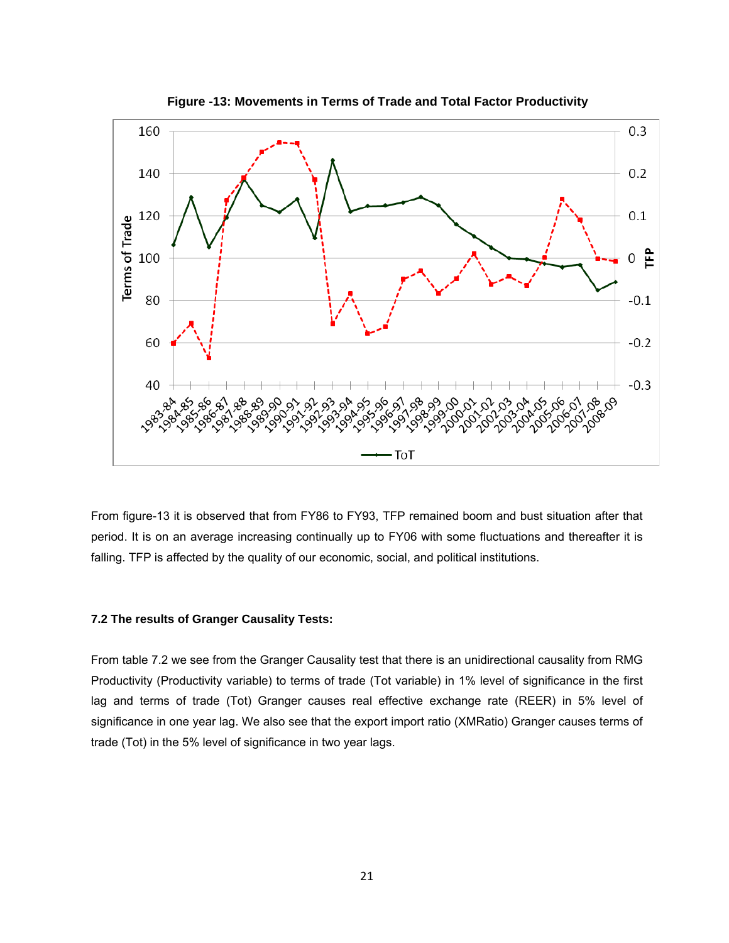

**Figure -13: Movements in Terms of Trade and Total Factor Productivity**

From figure-13 it is observed that from FY86 to FY93, TFP remained boom and bust situation after that period. It is on an average increasing continually up to FY06 with some fluctuations and thereafter it is falling. TFP is affected by the quality of our economic, social, and political institutions.

#### **7.2 The results of Granger Causality Tests:**

From table 7.2 we see from the Granger Causality test that there is an unidirectional causality from RMG Productivity (Productivity variable) to terms of trade (Tot variable) in 1% level of significance in the first lag and terms of trade (Tot) Granger causes real effective exchange rate (REER) in 5% level of significance in one year lag. We also see that the export import ratio (XMRatio) Granger causes terms of trade (Tot) in the 5% level of significance in two year lags.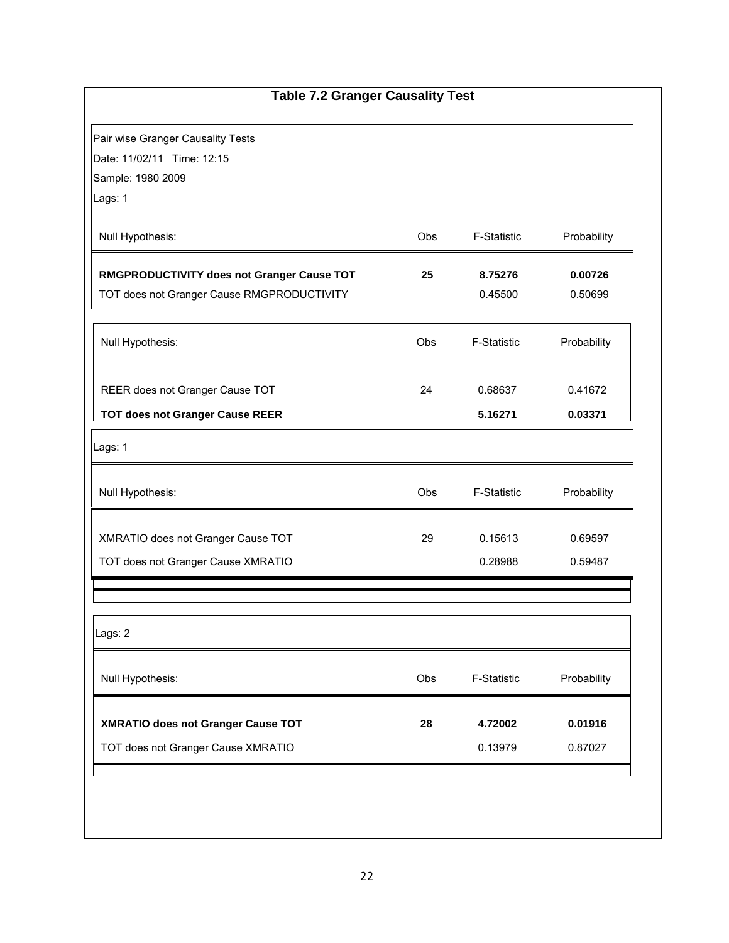| <b>Table 7.2 Granger Causality Test</b>    |     |             |             |
|--------------------------------------------|-----|-------------|-------------|
| Pair wise Granger Causality Tests          |     |             |             |
| Date: 11/02/11 Time: 12:15                 |     |             |             |
| Sample: 1980 2009                          |     |             |             |
| Lags: 1                                    |     |             |             |
|                                            |     |             |             |
| Null Hypothesis:                           | Obs | F-Statistic | Probability |
| RMGPRODUCTIVITY does not Granger Cause TOT | 25  | 8.75276     | 0.00726     |
| TOT does not Granger Cause RMGPRODUCTIVITY |     | 0.45500     | 0.50699     |
|                                            |     |             |             |
|                                            | Obs | F-Statistic | Probability |
| Null Hypothesis:                           |     |             |             |
|                                            | 24  | 0.68637     | 0.41672     |
| REER does not Granger Cause TOT            |     |             |             |
| <b>TOT does not Granger Cause REER</b>     |     | 5.16271     | 0.03371     |
| Lags: 1                                    |     |             |             |
| Null Hypothesis:                           | Obs | F-Statistic | Probability |
| XMRATIO does not Granger Cause TOT         | 29  | 0.15613     | 0.69597     |
| TOT does not Granger Cause XMRATIO         |     | 0.28988     | 0.59487     |
|                                            |     |             |             |
| Lags: 2                                    |     |             |             |
| Null Hypothesis:                           | Obs | F-Statistic | Probability |
| XMRATIO does not Granger Cause TOT         | 28  | 4.72002     | 0.01916     |
| TOT does not Granger Cause XMRATIO         |     | 0.13979     | 0.87027     |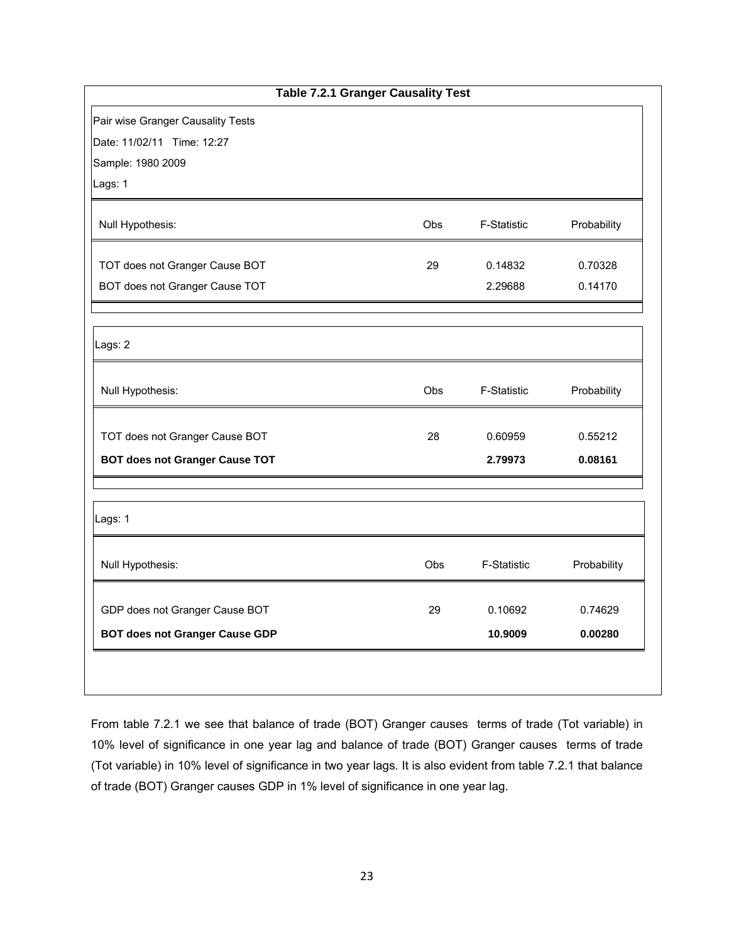| <b>Table 7.2.1 Granger Causality Test</b> |            |                    |             |  |
|-------------------------------------------|------------|--------------------|-------------|--|
| Pair wise Granger Causality Tests         |            |                    |             |  |
| Date: 11/02/11 Time: 12:27                |            |                    |             |  |
| Sample: 1980 2009                         |            |                    |             |  |
| Lags: 1                                   |            |                    |             |  |
| Null Hypothesis:                          | Obs        | F-Statistic        | Probability |  |
| TOT does not Granger Cause BOT            | 29         | 0.14832            | 0.70328     |  |
| BOT does not Granger Cause TOT            |            | 2.29688            | 0.14170     |  |
|                                           |            |                    |             |  |
| Lags: 2                                   |            |                    |             |  |
| Null Hypothesis:                          | Obs        | <b>F-Statistic</b> | Probability |  |
| TOT does not Granger Cause BOT            | 28         | 0.60959            | 0.55212     |  |
| <b>BOT does not Granger Cause TOT</b>     |            | 2.79973            | 0.08161     |  |
|                                           |            |                    |             |  |
| Lags: 1                                   |            |                    |             |  |
| Null Hypothesis:                          | <b>Obs</b> | <b>F-Statistic</b> | Probability |  |
| GDP does not Granger Cause BOT            | 29         | 0.10692            | 0.74629     |  |
| <b>BOT does not Granger Cause GDP</b>     |            | 10.9009            | 0.00280     |  |

From table 7.2.1 we see that balance of trade (BOT) Granger causes terms of trade (Tot variable) in 10% level of significance in one year lag and balance of trade (BOT) Granger causes terms of trade (Tot variable) in 10% level of significance in two year lags. It is also evident from table 7.2.1 that balance of trade (BOT) Granger causes GDP in 1% level of significance in one year lag.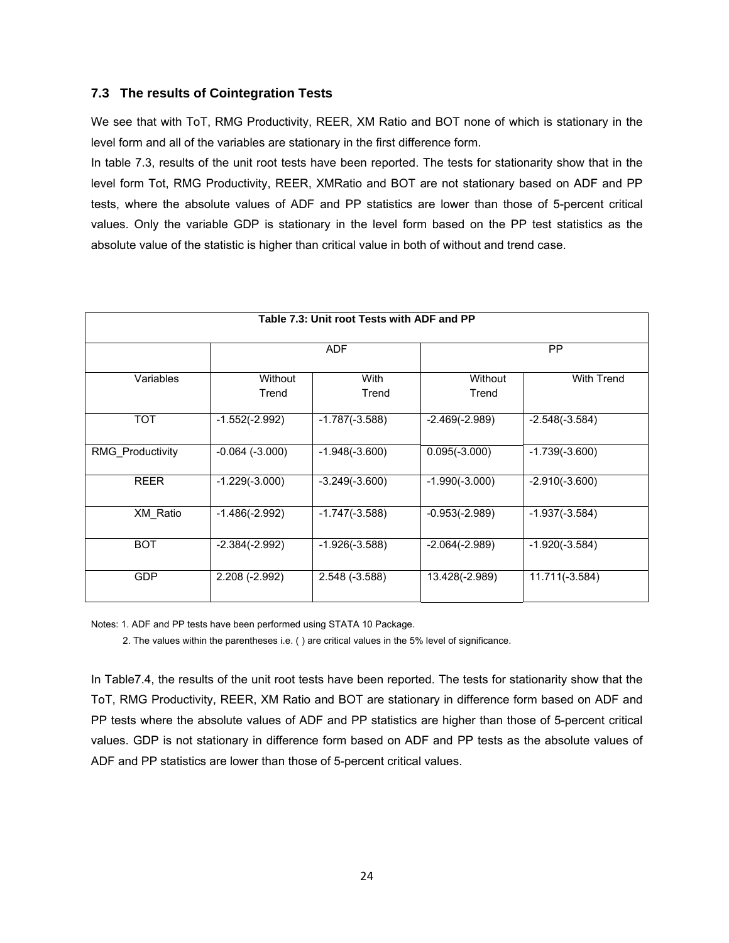#### **7.3 The results of Cointegration Tests**

We see that with ToT, RMG Productivity, REER, XM Ratio and BOT none of which is stationary in the level form and all of the variables are stationary in the first difference form.

In table 7.3, results of the unit root tests have been reported. The tests for stationarity show that in the level form Tot, RMG Productivity, REER, XMRatio and BOT are not stationary based on ADF and PP tests, where the absolute values of ADF and PP statistics are lower than those of 5-percent critical values. Only the variable GDP is stationary in the level form based on the PP test statistics as the absolute value of the statistic is higher than critical value in both of without and trend case.

| Table 7.3: Unit root Tests with ADF and PP |                     |                  |                  |                   |  |  |  |
|--------------------------------------------|---------------------|------------------|------------------|-------------------|--|--|--|
|                                            |                     |                  |                  |                   |  |  |  |
|                                            |                     | <b>ADF</b>       |                  | PP                |  |  |  |
|                                            |                     |                  |                  |                   |  |  |  |
| Variables                                  | Without             | With             | Without          | <b>With Trend</b> |  |  |  |
|                                            | Trend               | Trend            | Trend            |                   |  |  |  |
| <b>TOT</b>                                 | $-1.552(-2.992)$    | $-1.787(-3.588)$ | $-2.469(-2.989)$ | $-2.548(-3.584)$  |  |  |  |
|                                            |                     |                  |                  |                   |  |  |  |
| <b>RMG Productivity</b>                    | $-0.064$ $(-3.000)$ | $-1.948(-3.600)$ | $0.095(-3.000)$  | $-1.739(-3.600)$  |  |  |  |
|                                            |                     |                  |                  |                   |  |  |  |
| <b>REER</b>                                | $-1.229(-3.000)$    | $-3.249(-3.600)$ | $-1.990(-3.000)$ | $-2.910(-3.600)$  |  |  |  |
|                                            |                     |                  |                  |                   |  |  |  |
| XM_Ratio                                   | $-1.486(-2.992)$    | $-1.747(-3.588)$ | $-0.953(-2.989)$ | $-1.937(-3.584)$  |  |  |  |
|                                            |                     |                  |                  |                   |  |  |  |
| <b>BOT</b>                                 | $-2.384(-2.992)$    | $-1.926(-3.588)$ | $-2.064(-2.989)$ | $-1.920(-3.584)$  |  |  |  |
|                                            |                     |                  |                  |                   |  |  |  |
| <b>GDP</b>                                 | $2.208(-2.992)$     | $2.548(-3.588)$  | 13.428(-2.989)   | 11.711(-3.584)    |  |  |  |
|                                            |                     |                  |                  |                   |  |  |  |

Notes: 1. ADF and PP tests have been performed using STATA 10 Package.

2. The values within the parentheses i.e. ( ) are critical values in the 5% level of significance.

In Table7.4, the results of the unit root tests have been reported. The tests for stationarity show that the ToT, RMG Productivity, REER, XM Ratio and BOT are stationary in difference form based on ADF and PP tests where the absolute values of ADF and PP statistics are higher than those of 5-percent critical values. GDP is not stationary in difference form based on ADF and PP tests as the absolute values of ADF and PP statistics are lower than those of 5-percent critical values.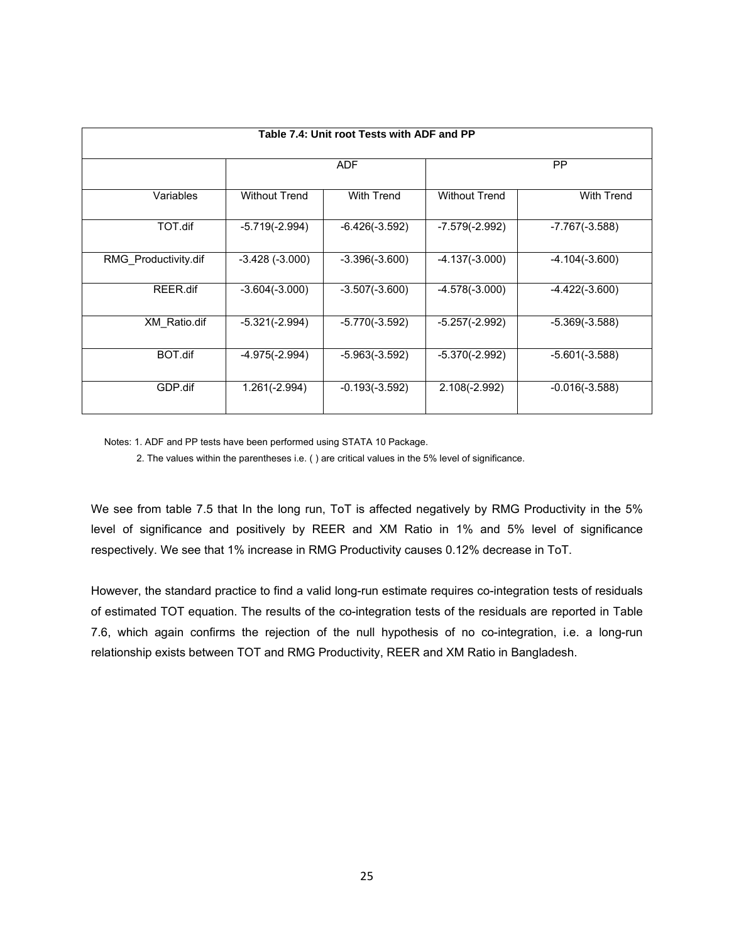| Table 7.4: Unit root Tests with ADF and PP |                      |                  |                      |                  |  |  |
|--------------------------------------------|----------------------|------------------|----------------------|------------------|--|--|
|                                            |                      | <b>ADF</b>       |                      | <b>PP</b>        |  |  |
| Variables                                  | <b>Without Trend</b> | With Trend       | <b>Without Trend</b> | With Trend       |  |  |
| TOT.dif                                    | $-5.719(-2.994)$     | $-6.426(-3.592)$ | -7.579(-2.992)       | $-7.767(-3.588)$ |  |  |
| RMG Productivity.dif                       | $-3.428(-3.000)$     | $-3.396(-3.600)$ | $-4.137(-3.000)$     | $-4.104(-3.600)$ |  |  |
| REER.dif                                   | $-3.604(-3.000)$     | $-3.507(-3.600)$ | $-4.578(-3.000)$     | $-4.422(-3.600)$ |  |  |
| XM Ratio.dif                               | $-5.321(-2.994)$     | $-5.770(-3.592)$ | $-5.257(-2.992)$     | $-5.369(-3.588)$ |  |  |
| BOT.dif                                    | $-4.975(-2.994)$     | $-5.963(-3.592)$ | $-5.370(-2.992)$     | $-5.601(-3.588)$ |  |  |
| GDP.dif                                    | $1.261(-2.994)$      | $-0.193(-3.592)$ | $2.108(-2.992)$      | $-0.016(-3.588)$ |  |  |

Notes: 1. ADF and PP tests have been performed using STATA 10 Package.

2. The values within the parentheses i.e. ( ) are critical values in the 5% level of significance.

We see from table 7.5 that In the long run, ToT is affected negatively by RMG Productivity in the 5% level of significance and positively by REER and XM Ratio in 1% and 5% level of significance respectively. We see that 1% increase in RMG Productivity causes 0.12% decrease in ToT.

However, the standard practice to find a valid long-run estimate requires co-integration tests of residuals of estimated TOT equation. The results of the co-integration tests of the residuals are reported in Table 7.6, which again confirms the rejection of the null hypothesis of no co-integration, i.e. a long-run relationship exists between TOT and RMG Productivity, REER and XM Ratio in Bangladesh.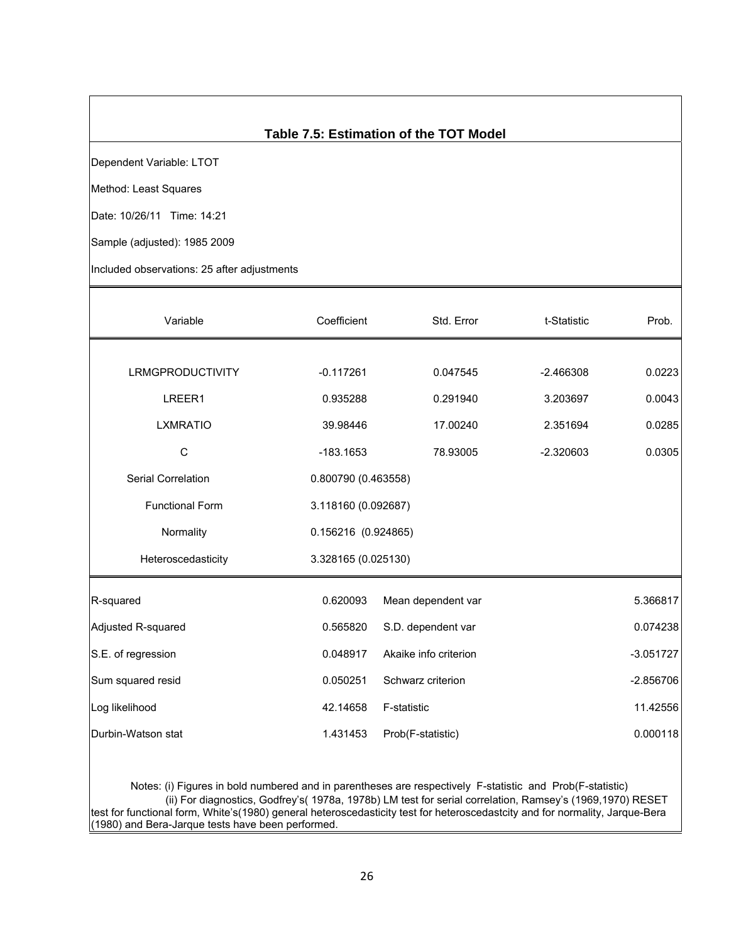## **Table 7.5: Estimation of the TOT Model**

Dependent Variable: LTOT

Method: Least Squares

Date: 10/26/11 Time: 14:21

Sample (adjusted): 1985 2009

Included observations: 25 after adjustments

| Variable                  | Coefficient | Std. Error                       | t-Statistic | Prob.    |  |  |
|---------------------------|-------------|----------------------------------|-------------|----------|--|--|
|                           |             |                                  |             |          |  |  |
| LRMGPRODUCTIVITY          | $-0.117261$ | 0.047545                         | $-2.466308$ | 0.0223   |  |  |
| LREER1                    | 0.935288    | 0.291940                         | 3.203697    | 0.0043   |  |  |
| <b>LXMRATIO</b>           | 39.98446    | 17.00240                         | 2.351694    | 0.0285   |  |  |
| $\mathsf{C}$              | $-183.1653$ | 78.93005                         | $-2.320603$ | 0.0305   |  |  |
| <b>Serial Correlation</b> |             | 0.800790 (0.463558)              |             |          |  |  |
| <b>Functional Form</b>    |             | 3.118160 (0.092687)              |             |          |  |  |
| Normality                 |             | 0.156216 (0.924865)              |             |          |  |  |
| Heteroscedasticity        |             | 3.328165 (0.025130)              |             |          |  |  |
| R-squared                 | 0.620093    | Mean dependent var               |             | 5.366817 |  |  |
| Adjusted R-squared        | 0.565820    | S.D. dependent var               |             | 0.074238 |  |  |
| S.E. of regression        | 0.048917    | Akaike info criterion            | $-3.051727$ |          |  |  |
| Sum squared resid         | 0.050251    | Schwarz criterion<br>$-2.856706$ |             |          |  |  |
| Log likelihood            | 42.14658    | F-statistic                      |             |          |  |  |
| Durbin-Watson stat        | 1.431453    | Prob(F-statistic)                |             | 0.000118 |  |  |
|                           |             |                                  |             |          |  |  |

 Notes: (i) Figures in bold numbered and in parentheses are respectively F-statistic and Prob(F-statistic) (ii) For diagnostics, Godfrey's( 1978a, 1978b) LM test for serial correlation, Ramsey's (1969,1970) RESET test for functional form, White's(1980) general heteroscedasticity test for heteroscedastcity and for normality, Jarque-Bera (1980) and Bera-Jarque tests have been performed.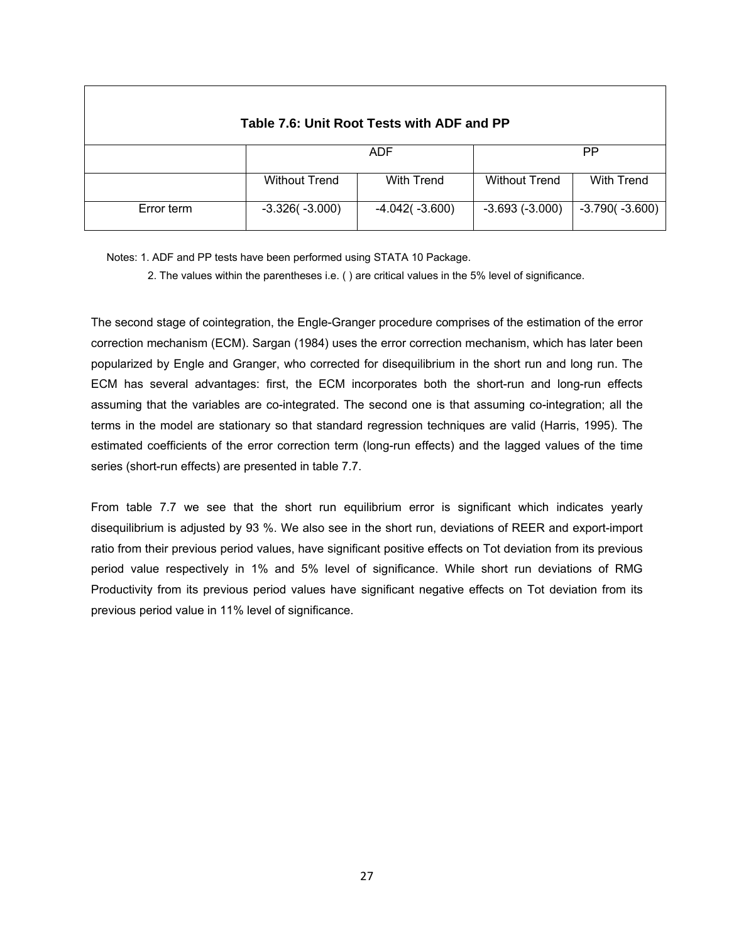| Table 7.6: Unit Root Tests with ADF and PP |                      |                   |                      |                  |  |  |  |
|--------------------------------------------|----------------------|-------------------|----------------------|------------------|--|--|--|
|                                            |                      | <b>ADF</b>        |                      | PP               |  |  |  |
|                                            | <b>Without Trend</b> | <b>With Trend</b> | <b>Without Trend</b> | With Trend       |  |  |  |
| Error term                                 | $-3.326(-3.000)$     | $-4.042(-3.600)$  | $-3.693(-3.000)$     | $-3.790(-3.600)$ |  |  |  |

Notes: 1. ADF and PP tests have been performed using STATA 10 Package.

2. The values within the parentheses i.e. ( ) are critical values in the 5% level of significance.

The second stage of cointegration, the Engle-Granger procedure comprises of the estimation of the error correction mechanism (ECM). Sargan (1984) uses the error correction mechanism, which has later been popularized by Engle and Granger, who corrected for disequilibrium in the short run and long run. The ECM has several advantages: first, the ECM incorporates both the short-run and long-run effects assuming that the variables are co-integrated. The second one is that assuming co-integration; all the terms in the model are stationary so that standard regression techniques are valid (Harris, 1995). The estimated coefficients of the error correction term (long-run effects) and the lagged values of the time series (short-run effects) are presented in table 7.7.

From table 7.7 we see that the short run equilibrium error is significant which indicates yearly disequilibrium is adjusted by 93 %. We also see in the short run, deviations of REER and export-import ratio from their previous period values, have significant positive effects on Tot deviation from its previous period value respectively in 1% and 5% level of significance. While short run deviations of RMG Productivity from its previous period values have significant negative effects on Tot deviation from its previous period value in 11% level of significance.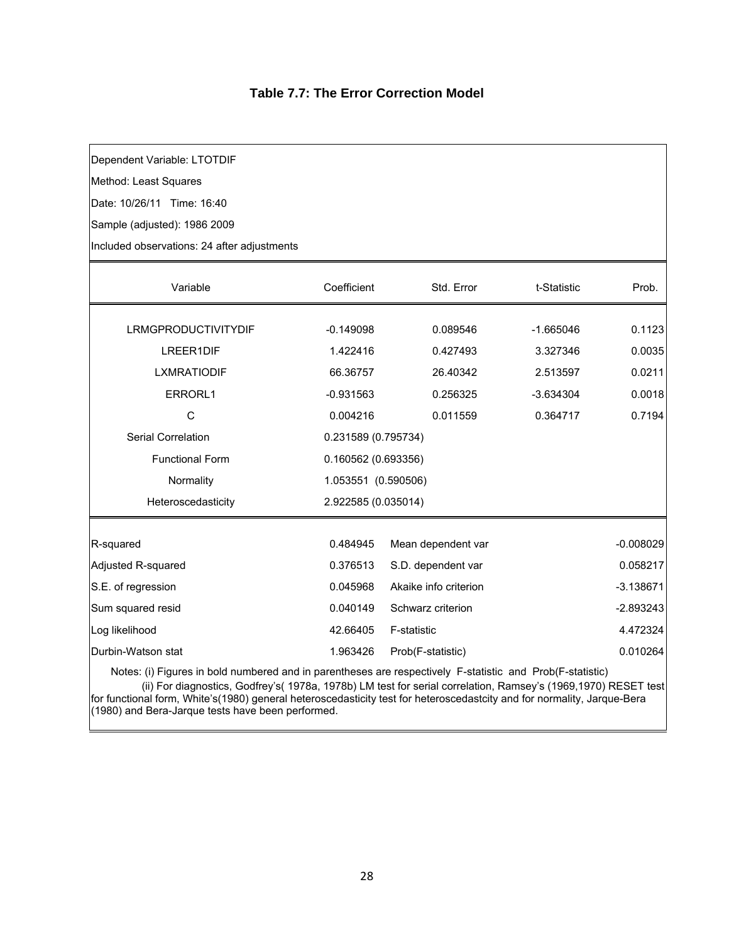## **Table 7.7: The Error Correction Model**

Dependent Variable: LTOTDIF

Method: Least Squares

Date: 10/26/11 Time: 16:40

Sample (adjusted): 1986 2009

Included observations: 24 after adjustments

| Variable                                                                                                   | Coefficient         | Std. Error            | t-Statistic | Prob.       |  |
|------------------------------------------------------------------------------------------------------------|---------------------|-----------------------|-------------|-------------|--|
|                                                                                                            |                     |                       |             |             |  |
| <b>LRMGPRODUCTIVITYDIF</b>                                                                                 | $-0.149098$         | 0.089546              | $-1.665046$ | 0.1123      |  |
| LREER1DIF                                                                                                  | 1.422416            | 0.427493              | 3.327346    | 0.0035      |  |
| <b>LXMRATIODIF</b>                                                                                         | 66.36757            | 26.40342              | 2.513597    | 0.0211      |  |
| ERRORL1                                                                                                    | $-0.931563$         | 0.256325              | $-3.634304$ | 0.0018      |  |
| C                                                                                                          | 0.004216            | 0.011559              | 0.364717    | 0.7194      |  |
| Serial Correlation                                                                                         | 0.231589 (0.795734) |                       |             |             |  |
| <b>Functional Form</b>                                                                                     |                     | 0.160562 (0.693356)   |             |             |  |
| Normality                                                                                                  |                     | 1.053551 (0.590506)   |             |             |  |
| Heteroscedasticity                                                                                         |                     | 2.922585 (0.035014)   |             |             |  |
|                                                                                                            |                     |                       |             |             |  |
| R-squared                                                                                                  | 0.484945            | Mean dependent var    |             | $-0.008029$ |  |
| Adjusted R-squared                                                                                         | 0.376513            | S.D. dependent var    |             | 0.058217    |  |
| S.E. of regression                                                                                         | 0.045968            | Akaike info criterion |             | $-3.138671$ |  |
| Sum squared resid                                                                                          | 0.040149            | Schwarz criterion     |             | $-2.893243$ |  |
| Log likelihood                                                                                             | 42.66405            | F-statistic           |             | 4.472324    |  |
| Durbin-Watson stat                                                                                         | 1.963426            | Prob(F-statistic)     |             | 0.010264    |  |
| Natos: /i) Figures in beld puppered and in percettrose are respectively. E statistic and Dreb/E statistic) |                     |                       |             |             |  |

Notes: (i) Figures in bold numbered and in parentheses are respectively F-statistic and Prob(F-statistic)

 (ii) For diagnostics, Godfrey's( 1978a, 1978b) LM test for serial correlation, Ramsey's (1969,1970) RESET test for functional form, White's(1980) general heteroscedasticity test for heteroscedastcity and for normality, Jarque-Bera (1980) and Bera-Jarque tests have been performed.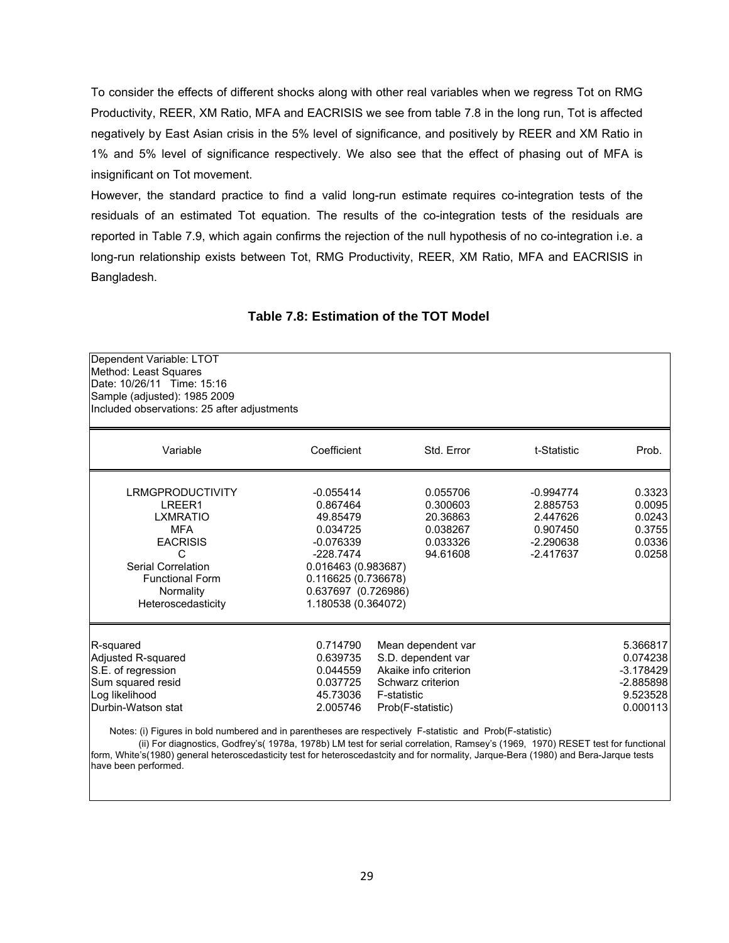To consider the effects of different shocks along with other real variables when we regress Tot on RMG Productivity, REER, XM Ratio, MFA and EACRISIS we see from table 7.8 in the long run, Tot is affected negatively by East Asian crisis in the 5% level of significance, and positively by REER and XM Ratio in 1% and 5% level of significance respectively. We also see that the effect of phasing out of MFA is insignificant on Tot movement.

However, the standard practice to find a valid long-run estimate requires co-integration tests of the residuals of an estimated Tot equation. The results of the co-integration tests of the residuals are reported in Table 7.9, which again confirms the rejection of the null hypothesis of no co-integration i.e. a long-run relationship exists between Tot, RMG Productivity, REER, XM Ratio, MFA and EACRISIS in Bangladesh.

| Dependent Variable: LTOT<br>Method: Least Squares<br>Date: 10/26/11 Time: 15:16<br>Sample (adjusted): 1985 2009<br>Included observations: 25 after adjustments                                                                                                                                                                                                                                                                                                    |                                                                                                                                                                           |                                                                                                                            |                                                                               |                                                                            |
|-------------------------------------------------------------------------------------------------------------------------------------------------------------------------------------------------------------------------------------------------------------------------------------------------------------------------------------------------------------------------------------------------------------------------------------------------------------------|---------------------------------------------------------------------------------------------------------------------------------------------------------------------------|----------------------------------------------------------------------------------------------------------------------------|-------------------------------------------------------------------------------|----------------------------------------------------------------------------|
| Variable                                                                                                                                                                                                                                                                                                                                                                                                                                                          | Coefficient                                                                                                                                                               | Std. Error                                                                                                                 | t-Statistic                                                                   | Prob.                                                                      |
| <b>LRMGPRODUCTIVITY</b><br>LREER1<br><b>LXMRATIO</b><br><b>MFA</b><br><b>EACRISIS</b><br>C<br>Serial Correlation<br><b>Functional Form</b><br>Normality<br>Heteroscedasticity                                                                                                                                                                                                                                                                                     | $-0.055414$<br>0.867464<br>49.85479<br>0.034725<br>$-0.076339$<br>$-228.7474$<br>0.016463 (0.983687)<br>0.116625 (0.736678)<br>0.637697 (0.726986)<br>1.180538 (0.364072) | 0.055706<br>0.300603<br>20.36863<br>0.038267<br>0.033326<br>94.61608                                                       | $-0.994774$<br>2.885753<br>2.447626<br>0.907450<br>$-2.290638$<br>$-2.417637$ | 0.3323<br>0.0095<br>0.0243<br>0.3755<br>0.0336<br>0.0258                   |
| R-squared<br>Adjusted R-squared<br>S.E. of regression<br>Sum squared resid<br>Log likelihood<br>Durbin-Watson stat<br>Notes: (i) Figures in bold numbered and in parentheses are respectively F-statistic and Prob(F-statistic)<br>$(2)$ Fig. 4: $(1)$ $(2)$ $(3)$ $(4)$ $(5)$ $(1)$ $(2)$ $(3)$ $(5)$ $(1)$ $(1)$ $(1)$ $(2)$ $(3)$ $(2)$ $(3)$ $(4)$ $(5)$ $(5)$ $(7)$ $(7)$ $(7)$ $(7)$ $(7)$ $(7)$ $(8)$ $(9)$ $(1)$ $(1)$ $(1)$ $(1)$ $(1)$ $(1)$ $(1)$ $(1$ | 0.714790<br>0.639735<br>0.044559<br>0.037725<br>45.73036<br>2.005746                                                                                                      | Mean dependent var<br>S.D. dependent var<br>Akaike info criterion<br>Schwarz criterion<br>F-statistic<br>Prob(F-statistic) |                                                                               | 5.366817<br>0.074238<br>$-3.178429$<br>$-2.885898$<br>9.523528<br>0.000113 |

#### **Table 7.8: Estimation of the TOT Model**

 (ii) For diagnostics, Godfrey's( 1978a, 1978b) LM test for serial correlation, Ramsey's (1969, 1970) RESET test for functional form, White's(1980) general heteroscedasticity test for heteroscedastcity and for normality, Jarque-Bera (1980) and Bera-Jarque tests have been performed.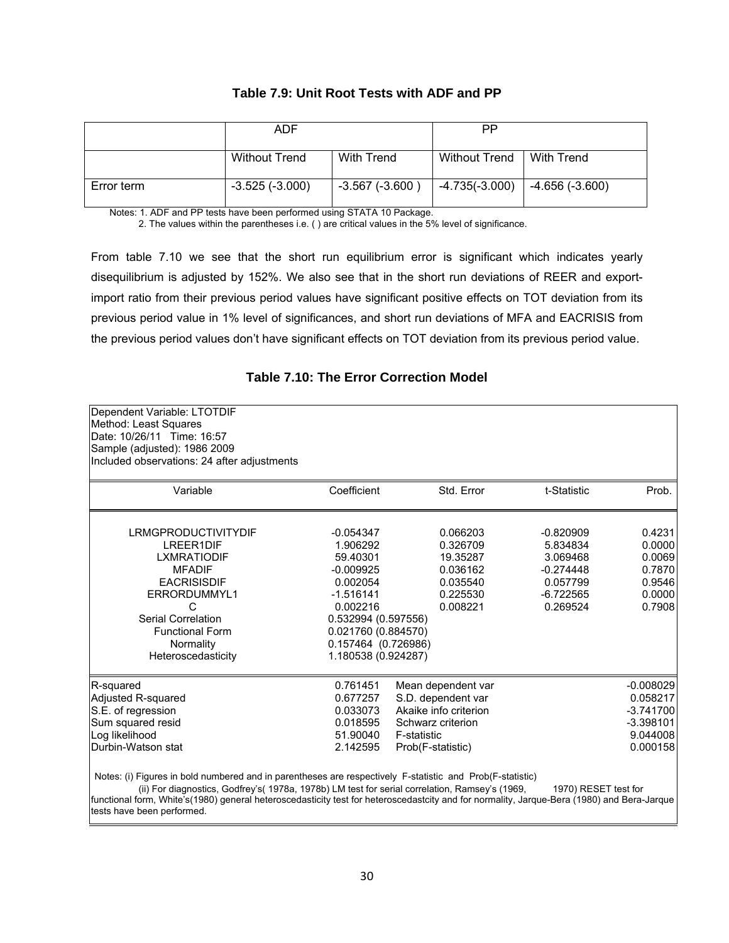#### **Table 7.9: Unit Root Tests with ADF and PP**

|            | ADF                   |                  | PP                   |                 |
|------------|-----------------------|------------------|----------------------|-----------------|
|            | <b>Without Trend</b>  | With Trend       | <b>Without Trend</b> | With Trend      |
| Error term | $-3.525$ ( $-3.000$ ) | $-3.567(-3.600)$ | $-4.735(-3.000)$     | -4.656 (-3.600) |

Notes: 1. ADF and PP tests have been performed using STATA 10 Package.

2. The values within the parentheses i.e. ( ) are critical values in the 5% level of significance.

From table 7.10 we see that the short run equilibrium error is significant which indicates yearly disequilibrium is adjusted by 152%. We also see that in the short run deviations of REER and exportimport ratio from their previous period values have significant positive effects on TOT deviation from its previous period value in 1% level of significances, and short run deviations of MFA and EACRISIS from the previous period values don't have significant effects on TOT deviation from its previous period value.

#### **Table 7.10: The Error Correction Model**

| Dependent Variable: LTOTDIF                                                                                                                                                                                                                                                                                                                               |                     |                       |                      |             |
|-----------------------------------------------------------------------------------------------------------------------------------------------------------------------------------------------------------------------------------------------------------------------------------------------------------------------------------------------------------|---------------------|-----------------------|----------------------|-------------|
| Method: Least Squares<br>Date: 10/26/11 Time: 16:57                                                                                                                                                                                                                                                                                                       |                     |                       |                      |             |
|                                                                                                                                                                                                                                                                                                                                                           |                     |                       |                      |             |
| Sample (adjusted): 1986 2009                                                                                                                                                                                                                                                                                                                              |                     |                       |                      |             |
| Included observations: 24 after adjustments                                                                                                                                                                                                                                                                                                               |                     |                       |                      |             |
| Variable                                                                                                                                                                                                                                                                                                                                                  | Coefficient         | Std. Error            | t-Statistic          | Prob.       |
| LRMGPRODUCTIVITYDIF                                                                                                                                                                                                                                                                                                                                       | $-0.054347$         | 0.066203              | $-0.820909$          | 0.4231      |
| LREER1DIF                                                                                                                                                                                                                                                                                                                                                 | 1.906292            | 0.326709              | 5.834834             | 0.0000      |
| <b>LXMRATIODIF</b>                                                                                                                                                                                                                                                                                                                                        | 59.40301            | 19.35287              | 3.069468             | 0.0069      |
| <b>MFADIF</b>                                                                                                                                                                                                                                                                                                                                             | $-0.009925$         | 0.036162              | $-0.274448$          | 0.7870      |
| <b>EACRISISDIF</b>                                                                                                                                                                                                                                                                                                                                        | 0.002054            | 0.035540              | 0.057799             | 0.9546      |
| ERRORDUMMYL1                                                                                                                                                                                                                                                                                                                                              | $-1.516141$         | 0.225530              | $-6.722565$          | 0.0000      |
| C                                                                                                                                                                                                                                                                                                                                                         | 0.002216            | 0.008221              | 0.269524             | 0.7908      |
| Serial Correlation                                                                                                                                                                                                                                                                                                                                        | 0.532994 (0.597556) |                       |                      |             |
| <b>Functional Form</b>                                                                                                                                                                                                                                                                                                                                    | 0.021760 (0.884570) |                       |                      |             |
| Normality                                                                                                                                                                                                                                                                                                                                                 | 0.157464 (0.726986) |                       |                      |             |
| Heteroscedasticity                                                                                                                                                                                                                                                                                                                                        | 1.180538 (0.924287) |                       |                      |             |
| R-squared                                                                                                                                                                                                                                                                                                                                                 | 0.761451            | Mean dependent var    |                      | $-0.008029$ |
| Adjusted R-squared                                                                                                                                                                                                                                                                                                                                        | 0.677257            | S.D. dependent var    |                      | 0.058217    |
| S.E. of regression                                                                                                                                                                                                                                                                                                                                        | 0.033073            | Akaike info criterion |                      | $-3.741700$ |
| Sum squared resid                                                                                                                                                                                                                                                                                                                                         | 0.018595            | Schwarz criterion     |                      | $-3.398101$ |
| Log likelihood                                                                                                                                                                                                                                                                                                                                            | 51.90040            | F-statistic           |                      | 9.044008    |
| Durbin-Watson stat                                                                                                                                                                                                                                                                                                                                        | 2.142595            | Prob(F-statistic)     |                      | 0.000158    |
| Notes: (i) Figures in bold numbered and in parentheses are respectively F-statistic and Prob(F-statistic)<br>(ii) For diagnostics, Godfrey's( 1978a, 1978b) LM test for serial correlation, Ramsey's (1969,<br>functional form, White's(1980) general heteroscedasticity test for heteroscedastcity and for normality, Jarque-Bera (1980) and Bera-Jarque |                     |                       | 1970) RESET test for |             |
| tests have been performed.                                                                                                                                                                                                                                                                                                                                |                     |                       |                      |             |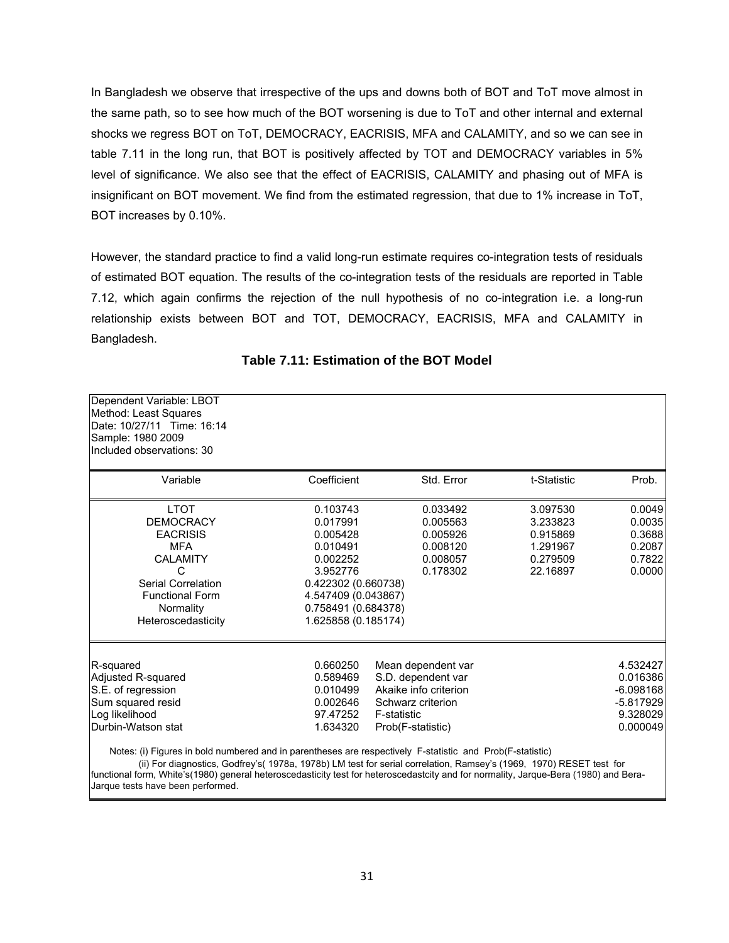In Bangladesh we observe that irrespective of the ups and downs both of BOT and ToT move almost in the same path, so to see how much of the BOT worsening is due to ToT and other internal and external shocks we regress BOT on ToT, DEMOCRACY, EACRISIS, MFA and CALAMITY, and so we can see in table 7.11 in the long run, that BOT is positively affected by TOT and DEMOCRACY variables in 5% level of significance. We also see that the effect of EACRISIS, CALAMITY and phasing out of MFA is insignificant on BOT movement. We find from the estimated regression, that due to 1% increase in ToT, BOT increases by 0.10%.

However, the standard practice to find a valid long-run estimate requires co-integration tests of residuals of estimated BOT equation. The results of the co-integration tests of the residuals are reported in Table 7.12, which again confirms the rejection of the null hypothesis of no co-integration i.e. a long-run relationship exists between BOT and TOT, DEMOCRACY, EACRISIS, MFA and CALAMITY in Bangladesh.

| Dependent Variable: LBOT<br>Method: Least Squares<br>Date: 10/27/11 Time: 16:14<br>Sample: 1980 2009<br>Included observations: 30                                           |                                                                                                                                                                  |                                                                                                                            |                                                                      |                                                                            |
|-----------------------------------------------------------------------------------------------------------------------------------------------------------------------------|------------------------------------------------------------------------------------------------------------------------------------------------------------------|----------------------------------------------------------------------------------------------------------------------------|----------------------------------------------------------------------|----------------------------------------------------------------------------|
| Variable                                                                                                                                                                    | Coefficient                                                                                                                                                      | Std. Error                                                                                                                 | t-Statistic                                                          | Prob.                                                                      |
| <b>LTOT</b><br><b>DEMOCRACY</b><br><b>EACRISIS</b><br><b>MFA</b><br><b>CALAMITY</b><br>C<br>Serial Correlation<br><b>Functional Form</b><br>Normality<br>Heteroscedasticity | 0.103743<br>0.017991<br>0.005428<br>0.010491<br>0.002252<br>3.952776<br>0.422302 (0.660738)<br>4.547409 (0.043867)<br>0.758491 (0.684378)<br>1.625858 (0.185174) | 0.033492<br>0.005563<br>0.005926<br>0.008120<br>0.008057<br>0.178302                                                       | 3.097530<br>3.233823<br>0.915869<br>1.291967<br>0.279509<br>22.16897 | 0.0049<br>0.0035<br>0.3688<br>0.2087<br>0.7822<br>0.0000                   |
| R-squared<br>Adjusted R-squared<br>S.E. of regression<br>Sum squared resid<br>Log likelihood<br>Durbin-Watson stat                                                          | 0.660250<br>0.589469<br>0.010499<br>0.002646<br>97.47252<br>1.634320                                                                                             | Mean dependent var<br>S.D. dependent var<br>Akaike info criterion<br>Schwarz criterion<br>F-statistic<br>Prob(F-statistic) |                                                                      | 4.532427<br>0.016386<br>$-6.098168$<br>$-5.817929$<br>9.328029<br>0.000049 |
| Notes: (i) Figures in bold numbered and in parentheses are respectively F-statistic and Prob(F-statistic)                                                                   |                                                                                                                                                                  |                                                                                                                            |                                                                      |                                                                            |

## **Table 7.11: Estimation of the BOT Model**

Notes: (i) Figures in bold numbered and in parentheses are respectively F-statistic and Prob(F-statistic)

 (ii) For diagnostics, Godfrey's( 1978a, 1978b) LM test for serial correlation, Ramsey's (1969, 1970) RESET test for functional form, White's(1980) general heteroscedasticity test for heteroscedastcity and for normality, Jarque-Bera (1980) and Bera-Jarque tests have been performed.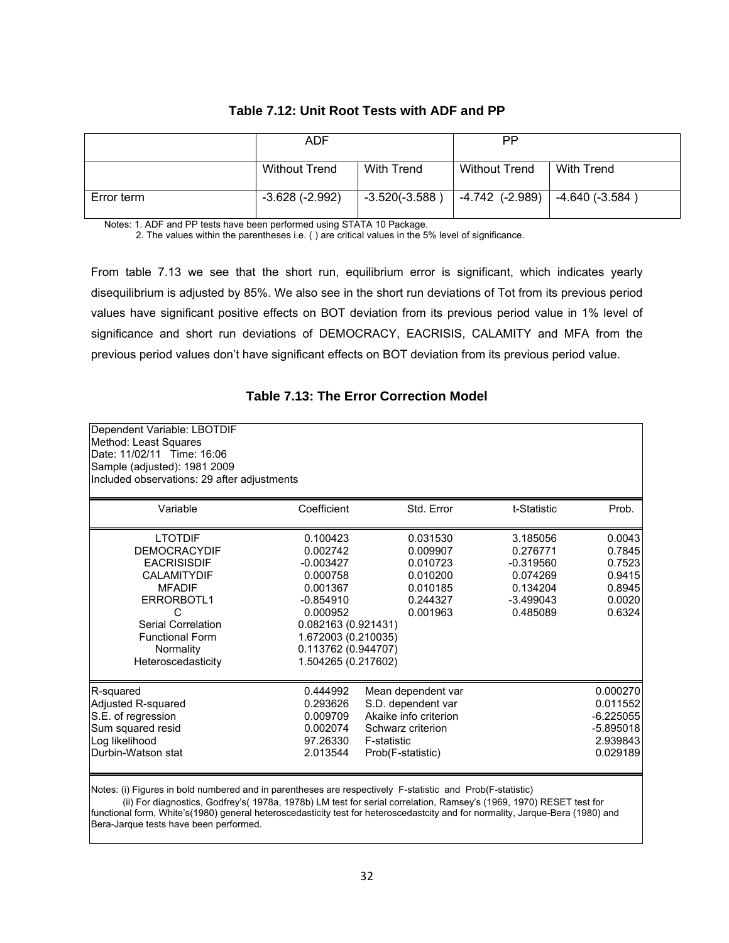|            | ADF                  |                   | РP                   |                   |
|------------|----------------------|-------------------|----------------------|-------------------|
|            | <b>Without Trend</b> | <b>With Trend</b> | <b>Without Trend</b> | With Trend        |
| Error term | $-3.628(-2.992)$     | $-3.520(-3.588)$  | -4.742 (-2.989)      | $ -4.640(-3.584)$ |

#### **Table 7.12: Unit Root Tests with ADF and PP**

Notes: 1. ADF and PP tests have been performed using STATA 10 Package.

2. The values within the parentheses i.e. ( ) are critical values in the 5% level of significance.

From table 7.13 we see that the short run, equilibrium error is significant, which indicates yearly disequilibrium is adjusted by 85%. We also see in the short run deviations of Tot from its previous period values have significant positive effects on BOT deviation from its previous period value in 1% level of significance and short run deviations of DEMOCRACY, EACRISIS, CALAMITY and MFA from the previous period values don't have significant effects on BOT deviation from its previous period value.

### **Table 7.13: The Error Correction Model**

| Dependent Variable: LBOTDIF<br>Method: Least Squares<br>Date: 11/02/11 Time: 16:06<br>Sample (adjusted): 1981 2009<br>Included observations: 29 after adjustments                                        |                                                                                                                                                                                    |                                                                                                                                   |                                                                                        |                                                                            |
|----------------------------------------------------------------------------------------------------------------------------------------------------------------------------------------------------------|------------------------------------------------------------------------------------------------------------------------------------------------------------------------------------|-----------------------------------------------------------------------------------------------------------------------------------|----------------------------------------------------------------------------------------|----------------------------------------------------------------------------|
| Variable                                                                                                                                                                                                 | Coefficient                                                                                                                                                                        | Std. Error                                                                                                                        | t-Statistic                                                                            | Prob.                                                                      |
| <b>LTOTDIF</b><br><b>DEMOCRACYDIF</b><br><b>EACRISISDIF</b><br><b>CALAMITYDIF</b><br><b>MFADIF</b><br>ERRORBOTL1<br>C<br>Serial Correlation<br><b>Functional Form</b><br>Normality<br>Heteroscedasticity | 0.100423<br>0.002742<br>$-0.003427$<br>0.000758<br>0.001367<br>$-0.854910$<br>0.000952<br>0.082163 (0.921431)<br>1.672003 (0.210035)<br>0.113762 (0.944707)<br>1.504265 (0.217602) | 0.031530<br>0.009907<br>0.010723<br>0.010200<br>0.010185<br>0.244327<br>0.001963                                                  | 3.185056<br>0.276771<br>$-0.319560$<br>0.074269<br>0.134204<br>$-3.499043$<br>0.485089 | 0.0043<br>0.7845<br>0.7523<br>0.9415<br>0.8945<br>0.0020<br>0.6324         |
| R-squared<br>Adjusted R-squared<br>S.E. of regression<br>Sum squared resid<br>Log likelihood<br>Durbin-Watson stat                                                                                       | 0.444992<br>0.293626<br>0.009709<br>0.002074<br>97.26330<br>2.013544                                                                                                               | Mean dependent var<br>S.D. dependent var<br>Akaike info criterion<br>Schwarz criterion<br><b>F-statistic</b><br>Prob(F-statistic) |                                                                                        | 0.000270<br>0.011552<br>$-6.225055$<br>$-5.895018$<br>2.939843<br>0.029189 |

Notes: (i) Figures in bold numbered and in parentheses are respectively F-statistic and Prob(F-statistic)

 (ii) For diagnostics, Godfrey's( 1978a, 1978b) LM test for serial correlation, Ramsey's (1969, 1970) RESET test for functional form, White's(1980) general heteroscedasticity test for heteroscedastcity and for normality, Jarque-Bera (1980) and Bera-Jarque tests have been performed.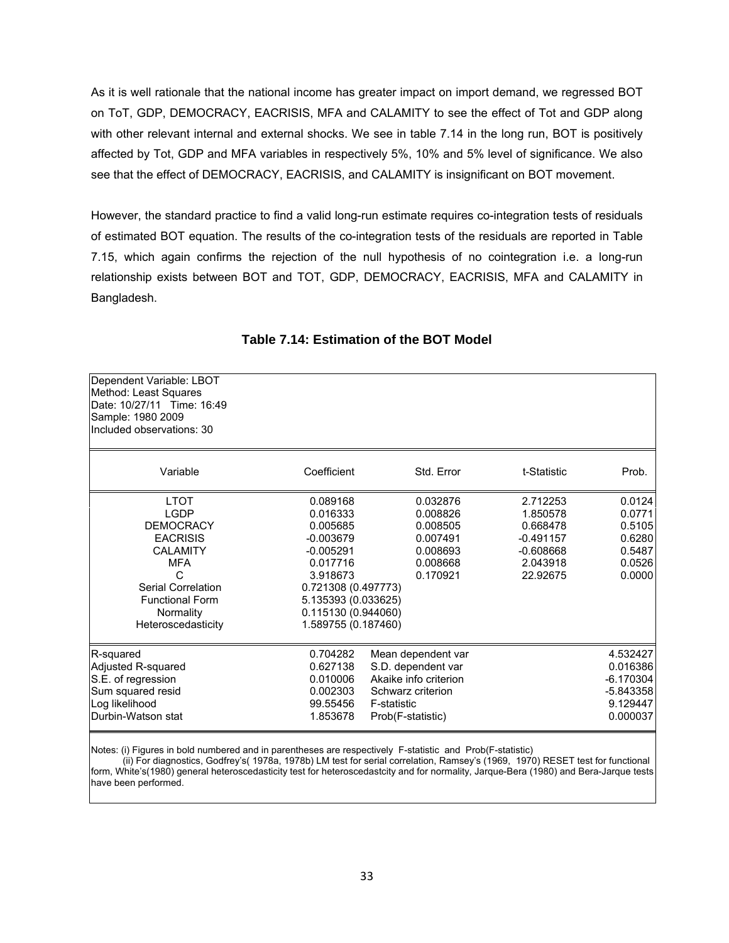As it is well rationale that the national income has greater impact on import demand, we regressed BOT on ToT, GDP, DEMOCRACY, EACRISIS, MFA and CALAMITY to see the effect of Tot and GDP along with other relevant internal and external shocks. We see in table 7.14 in the long run, BOT is positively affected by Tot, GDP and MFA variables in respectively 5%, 10% and 5% level of significance. We also see that the effect of DEMOCRACY, EACRISIS, and CALAMITY is insignificant on BOT movement.

However, the standard practice to find a valid long-run estimate requires co-integration tests of residuals of estimated BOT equation. The results of the co-integration tests of the residuals are reported in Table 7.15, which again confirms the rejection of the null hypothesis of no cointegration i.e. a long-run relationship exists between BOT and TOT, GDP, DEMOCRACY, EACRISIS, MFA and CALAMITY in Bangladesh.

| Dependent Variable: LBOT<br>Method: Least Squares<br>Date: 10/27/11 Time: 16:49<br>Sample: 1980 2009<br>Included observations: 30                                                          |                                                                                                                                                                                    |                                                                                                                                   |                                                                                        |                                                                            |
|--------------------------------------------------------------------------------------------------------------------------------------------------------------------------------------------|------------------------------------------------------------------------------------------------------------------------------------------------------------------------------------|-----------------------------------------------------------------------------------------------------------------------------------|----------------------------------------------------------------------------------------|----------------------------------------------------------------------------|
| Variable                                                                                                                                                                                   | Coefficient                                                                                                                                                                        | Std. Error                                                                                                                        | t-Statistic                                                                            | Prob.                                                                      |
| <b>LTOT</b><br><b>LGDP</b><br><b>DEMOCRACY</b><br><b>EACRISIS</b><br><b>CALAMITY</b><br><b>MFA</b><br>C<br>Serial Correlation<br><b>Functional Form</b><br>Normality<br>Heteroscedasticity | 0.089168<br>0.016333<br>0.005685<br>$-0.003679$<br>$-0.005291$<br>0.017716<br>3.918673<br>0.721308 (0.497773)<br>5.135393 (0.033625)<br>0.115130 (0.944060)<br>1.589755 (0.187460) | 0.032876<br>0.008826<br>0.008505<br>0.007491<br>0.008693<br>0.008668<br>0.170921                                                  | 2.712253<br>1.850578<br>0.668478<br>$-0.491157$<br>$-0.608668$<br>2.043918<br>22.92675 | 0.0124<br>0.0771<br>0.5105<br>0.6280<br>0.5487<br>0.0526<br>0.0000         |
| R-squared<br>Adjusted R-squared<br>S.E. of regression<br>Sum squared resid<br>Log likelihood<br>Durbin-Watson stat                                                                         | 0.704282<br>0.627138<br>0.010006<br>0.002303<br>99.55456<br>1.853678                                                                                                               | Mean dependent var<br>S.D. dependent var<br>Akaike info criterion<br>Schwarz criterion<br><b>F-statistic</b><br>Prob(F-statistic) |                                                                                        | 4.532427<br>0.016386<br>$-6.170304$<br>$-5.843358$<br>9.129447<br>0.000037 |

### **Table 7.14: Estimation of the BOT Model**

Notes: (i) Figures in bold numbered and in parentheses are respectively F-statistic and Prob(F-statistic)

 (ii) For diagnostics, Godfrey's( 1978a, 1978b) LM test for serial correlation, Ramsey's (1969, 1970) RESET test for functional form, White's(1980) general heteroscedasticity test for heteroscedastcity and for normality, Jarque-Bera (1980) and Bera-Jarque tests have been performed.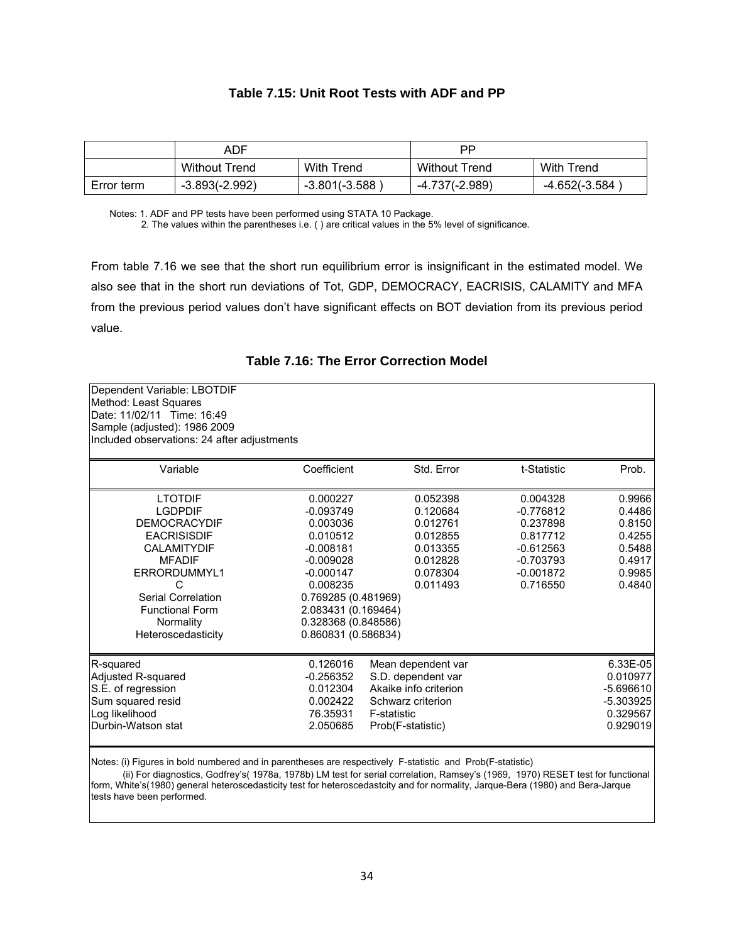#### **Table 7.15: Unit Root Tests with ADF and PP**

|            | ADF                  |                   | РP                   |               |
|------------|----------------------|-------------------|----------------------|---------------|
|            | <b>Without Trend</b> | <b>With Trend</b> | <b>Without Trend</b> | With Trend    |
| Error term | $-3.893(-2.992)$     | -3.801(-3.588)    | -4.737(-2.989)       | -4.652(-3.584 |

Notes: 1. ADF and PP tests have been performed using STATA 10 Package.

2. The values within the parentheses i.e. ( ) are critical values in the 5% level of significance.

From table 7.16 we see that the short run equilibrium error is insignificant in the estimated model. We also see that in the short run deviations of Tot, GDP, DEMOCRACY, EACRISIS, CALAMITY and MFA from the previous period values don't have significant effects on BOT deviation from its previous period value.

|  |  |  | Table 7.16: The Error Correction Model |  |
|--|--|--|----------------------------------------|--|
|--|--|--|----------------------------------------|--|

| Dependent Variable: LBOTDIF<br>Method: Least Squares<br>Date: 11/02/11 Time: 16:49<br>Sample (adjusted): 1986 2009<br>Included observations: 24 after adjustments                                                            |                                                                                                                                                                                                      |                                                                                                                            |                                                                                                          |                                                                              |
|------------------------------------------------------------------------------------------------------------------------------------------------------------------------------------------------------------------------------|------------------------------------------------------------------------------------------------------------------------------------------------------------------------------------------------------|----------------------------------------------------------------------------------------------------------------------------|----------------------------------------------------------------------------------------------------------|------------------------------------------------------------------------------|
| Variable                                                                                                                                                                                                                     | Coefficient                                                                                                                                                                                          | Std. Error                                                                                                                 | t-Statistic                                                                                              | Prob.                                                                        |
| <b>LTOTDIF</b><br><b>LGDPDIF</b><br><b>DEMOCRACYDIF</b><br><b>EACRISISDIF</b><br><b>CALAMITYDIF</b><br><b>MFADIF</b><br>ERRORDUMMYL1<br>C<br>Serial Correlation<br><b>Functional Form</b><br>Normality<br>Heteroscedasticity | 0.000227<br>$-0.093749$<br>0.003036<br>0.010512<br>$-0.008181$<br>$-0.009028$<br>$-0.000147$<br>0.008235<br>0.769285 (0.481969)<br>2.083431 (0.169464)<br>0.328368 (0.848586)<br>0.860831 (0.586834) | 0.052398<br>0.120684<br>0.012761<br>0.012855<br>0.013355<br>0.012828<br>0.078304<br>0.011493                               | 0.004328<br>$-0.776812$<br>0.237898<br>0.817712<br>$-0.612563$<br>$-0.703793$<br>$-0.001872$<br>0.716550 | 0.9966<br>0.4486<br>0.8150<br>0.4255<br>0.5488<br>0.4917<br>0.9985<br>0.4840 |
| R-squared<br>Adjusted R-squared<br>S.E. of regression<br>Sum squared resid<br>Log likelihood<br>Durbin-Watson stat                                                                                                           | 0.126016<br>$-0.256352$<br>0.012304<br>0.002422<br>76.35931<br>2.050685                                                                                                                              | Mean dependent var<br>S.D. dependent var<br>Akaike info criterion<br>Schwarz criterion<br>F-statistic<br>Prob(F-statistic) |                                                                                                          | 6.33E-05<br>0.010977<br>$-5.696610$<br>$-5.303925$<br>0.329567<br>0.929019   |

Notes: (i) Figures in bold numbered and in parentheses are respectively F-statistic and Prob(F-statistic)

 (ii) For diagnostics, Godfrey's( 1978a, 1978b) LM test for serial correlation, Ramsey's (1969, 1970) RESET test for functional form, White's(1980) general heteroscedasticity test for heteroscedastcity and for normality, Jarque-Bera (1980) and Bera-Jarque tests have been performed.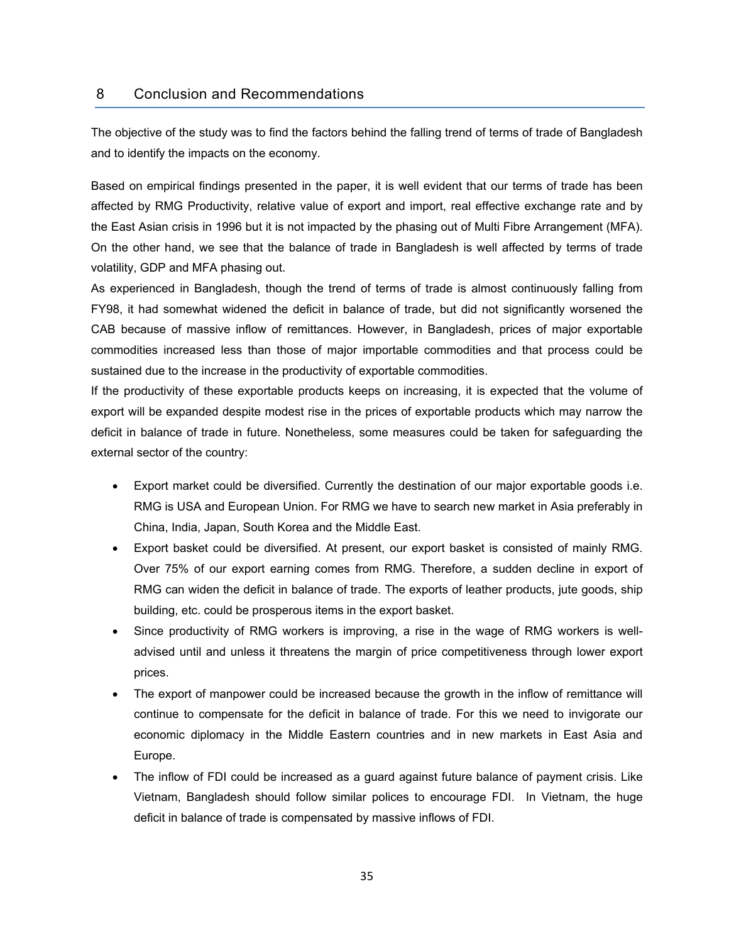#### 8 Conclusion and Recommendations

The objective of the study was to find the factors behind the falling trend of terms of trade of Bangladesh and to identify the impacts on the economy.

Based on empirical findings presented in the paper, it is well evident that our terms of trade has been affected by RMG Productivity, relative value of export and import, real effective exchange rate and by the East Asian crisis in 1996 but it is not impacted by the phasing out of Multi Fibre Arrangement (MFA). On the other hand, we see that the balance of trade in Bangladesh is well affected by terms of trade volatility, GDP and MFA phasing out.

As experienced in Bangladesh, though the trend of terms of trade is almost continuously falling from FY98, it had somewhat widened the deficit in balance of trade, but did not significantly worsened the CAB because of massive inflow of remittances. However, in Bangladesh, prices of major exportable commodities increased less than those of major importable commodities and that process could be sustained due to the increase in the productivity of exportable commodities.

If the productivity of these exportable products keeps on increasing, it is expected that the volume of export will be expanded despite modest rise in the prices of exportable products which may narrow the deficit in balance of trade in future. Nonetheless, some measures could be taken for safeguarding the external sector of the country:

- Export market could be diversified. Currently the destination of our major exportable goods i.e. RMG is USA and European Union. For RMG we have to search new market in Asia preferably in China, India, Japan, South Korea and the Middle East.
- Export basket could be diversified. At present, our export basket is consisted of mainly RMG. Over 75% of our export earning comes from RMG. Therefore, a sudden decline in export of RMG can widen the deficit in balance of trade. The exports of leather products, jute goods, ship building, etc. could be prosperous items in the export basket.
- Since productivity of RMG workers is improving, a rise in the wage of RMG workers is welladvised until and unless it threatens the margin of price competitiveness through lower export prices.
- The export of manpower could be increased because the growth in the inflow of remittance will continue to compensate for the deficit in balance of trade. For this we need to invigorate our economic diplomacy in the Middle Eastern countries and in new markets in East Asia and Europe.
- The inflow of FDI could be increased as a guard against future balance of payment crisis. Like Vietnam, Bangladesh should follow similar polices to encourage FDI. In Vietnam, the huge deficit in balance of trade is compensated by massive inflows of FDI.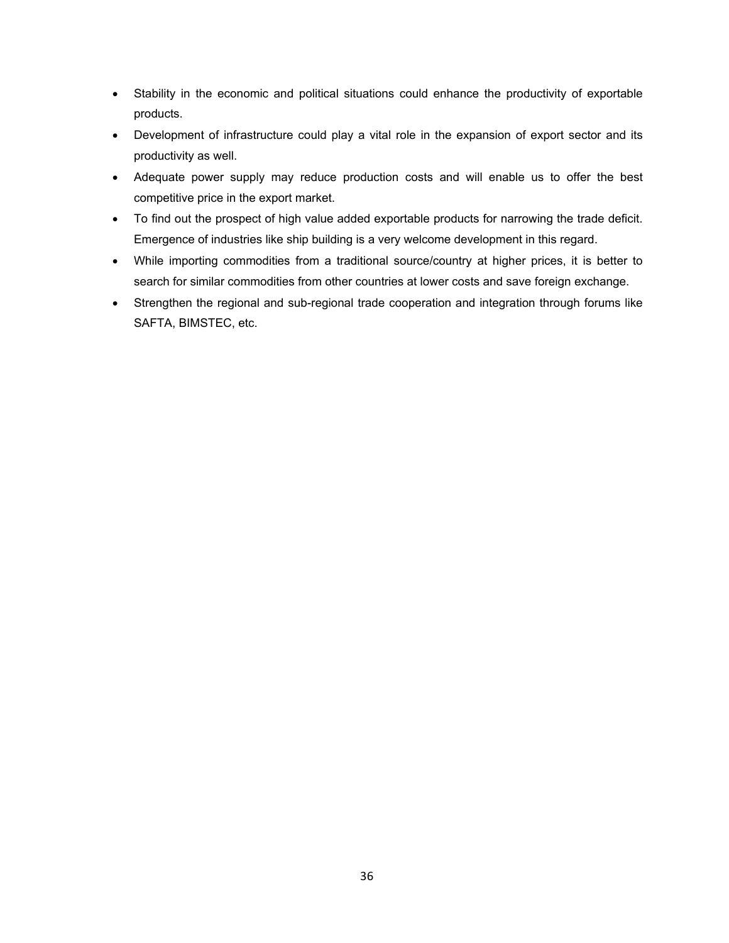- Stability in the economic and political situations could enhance the productivity of exportable products.
- Development of infrastructure could play a vital role in the expansion of export sector and its productivity as well.
- Adequate power supply may reduce production costs and will enable us to offer the best competitive price in the export market.
- To find out the prospect of high value added exportable products for narrowing the trade deficit. Emergence of industries like ship building is a very welcome development in this regard.
- While importing commodities from a traditional source/country at higher prices, it is better to search for similar commodities from other countries at lower costs and save foreign exchange.
- Strengthen the regional and sub-regional trade cooperation and integration through forums like SAFTA, BIMSTEC, etc.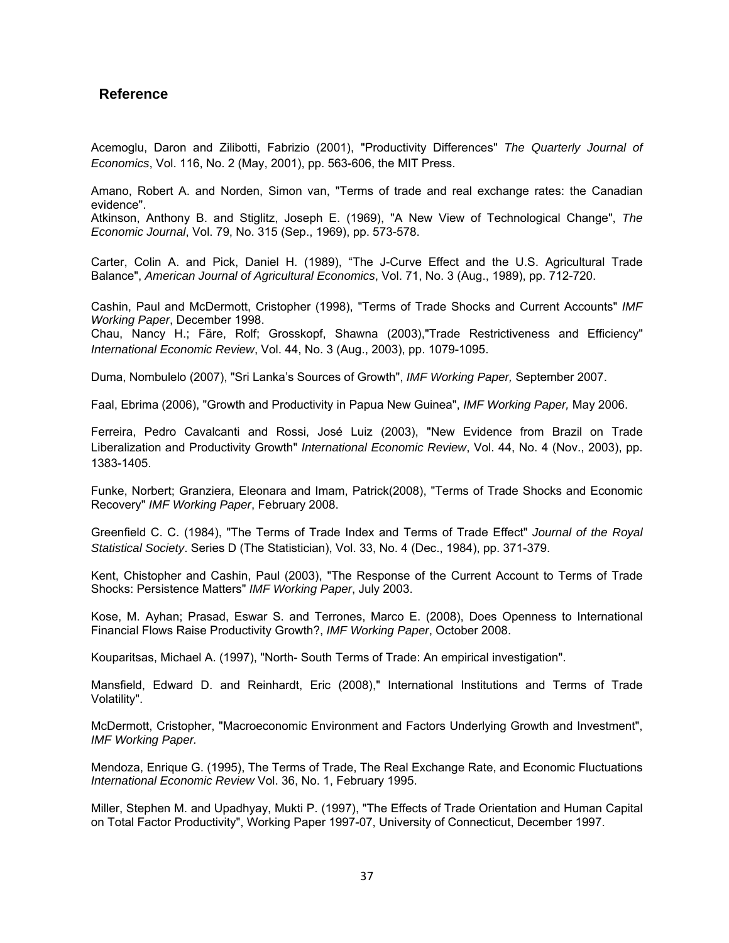### **Reference**

Acemoglu, Daron and Zilibotti, Fabrizio (2001), "Productivity Differences" *The Quarterly Journal of Economics*, Vol. 116, No. 2 (May, 2001), pp. 563-606, the MIT Press.

Amano, Robert A. and Norden, Simon van, "Terms of trade and real exchange rates: the Canadian evidence".

Atkinson, Anthony B. and Stiglitz, Joseph E. (1969), "A New View of Technological Change", *The Economic Journal*, Vol. 79, No. 315 (Sep., 1969), pp. 573-578.

Carter, Colin A. and Pick, Daniel H. (1989), "The J-Curve Effect and the U.S. Agricultural Trade Balance", *American Journal of Agricultural Economics*, Vol. 71, No. 3 (Aug., 1989), pp. 712-720.

Cashin, Paul and McDermott, Cristopher (1998), "Terms of Trade Shocks and Current Accounts" *IMF Working Paper*, December 1998.

Chau, Nancy H.; Färe, Rolf; Grosskopf, Shawna (2003),"Trade Restrictiveness and Efficiency" *International Economic Review*, Vol. 44, No. 3 (Aug., 2003), pp. 1079-1095.

Duma, Nombulelo (2007), "Sri Lanka's Sources of Growth", *IMF Working Paper,* September 2007.

Faal, Ebrima (2006), "Growth and Productivity in Papua New Guinea", *IMF Working Paper,* May 2006.

Ferreira, Pedro Cavalcanti and Rossi, José Luiz (2003), "New Evidence from Brazil on Trade Liberalization and Productivity Growth" *International Economic Review*, Vol. 44, No. 4 (Nov., 2003), pp. 1383-1405.

Funke, Norbert; Granziera, Eleonara and Imam, Patrick(2008), "Terms of Trade Shocks and Economic Recovery" *IMF Working Paper*, February 2008.

Greenfield C. C. (1984), "The Terms of Trade Index and Terms of Trade Effect" *Journal of the Royal Statistical Society*. Series D (The Statistician), Vol. 33, No. 4 (Dec., 1984), pp. 371-379.

Kent, Chistopher and Cashin, Paul (2003), "The Response of the Current Account to Terms of Trade Shocks: Persistence Matters" *IMF Working Paper*, July 2003.

Kose, M. Ayhan; Prasad, Eswar S. and Terrones, Marco E. (2008), Does Openness to International Financial Flows Raise Productivity Growth?, *IMF Working Paper*, October 2008.

Kouparitsas, Michael A. (1997), "North- South Terms of Trade: An empirical investigation".

Mansfield, Edward D. and Reinhardt, Eric (2008)," International Institutions and Terms of Trade Volatility".

McDermott, Cristopher, "Macroeconomic Environment and Factors Underlying Growth and Investment", *IMF Working Paper.* 

Mendoza, Enrique G. (1995), The Terms of Trade, The Real Exchange Rate, and Economic Fluctuations *International Economic Review* Vol. 36, No. 1, February 1995.

Miller, Stephen M. and Upadhyay, Mukti P. (1997), "The Effects of Trade Orientation and Human Capital on Total Factor Productivity", Working Paper 1997-07, University of Connecticut, December 1997.